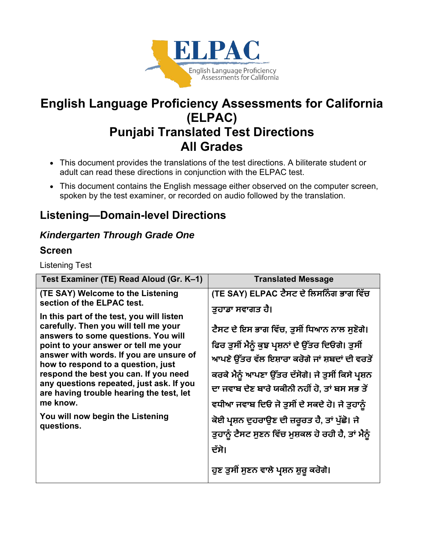

# **English Language Proficiency Assessments for California (ELPAC) Punjabi Translated Test Directions All Grades**

- This document provides the translations of the test directions. A biliterate student or adult can read these directions in conjunction with the ELPAC test.
- This document contains the English message either observed on the computer screen, spoken by the test examiner, or recorded on audio followed by the translation.

# **Listening—Domain-level Directions**

## *Kindergarten Through Grade One*

## **Screen**

Listening Test

| Test Examiner (TE) Read Aloud (Gr. K-1)                                                                                                                                                                                                                                      | <b>Translated Message</b>                                                                                                                                                                                                                                                                                                                                         |
|------------------------------------------------------------------------------------------------------------------------------------------------------------------------------------------------------------------------------------------------------------------------------|-------------------------------------------------------------------------------------------------------------------------------------------------------------------------------------------------------------------------------------------------------------------------------------------------------------------------------------------------------------------|
| (TE SAY) Welcome to the Listening<br>section of the ELPAC test.<br>In this part of the test, you will listen<br>carefully. Then you will tell me your<br>answers to some questions. You will<br>point to your answer or tell me your                                         | (TE SAY) ELPAC ਟੈਸਟ ਦੇ ਲਿਸਨਿੰਗ ਭਾਗ ਵਿੱਚ<br>ਤੁਹਾਡਾ ਸਵਾਗਤ ਹੈ।<br>ਟੈਸਟ ਦੇ ਇਸ ਭਾਗ ਵਿੱਚ, ਤੁਸੀਂ ਧਿਆਨ ਨਾਲ ਸੁਣੋਗੇ।<br>ਫਿਰ ਤੁਸੀਂ ਮੈਨੂੰ ਕੁਝ ਪ੍ਰਸ਼ਨਾਂ ਦੇ ਉੱਤਰ ਦਿਓਗੇ। ਤੁਸੀਂ                                                                                                                                                                                                   |
| answer with words. If you are unsure of<br>how to respond to a question, just<br>respond the best you can. If you need<br>any questions repeated, just ask. If you<br>are having trouble hearing the test, let<br>me know.<br>You will now begin the Listening<br>questions. | ਆਪਣੇ ਉੱਤਰ ਵੱਲ ਇਸ਼ਾਰਾ ਕਰੋਗੇ ਜਾਂ ਸ਼ਬਦਾਂ ਦੀ ਵਰਤੋਂ<br>ਕਰਕੇ ਮੈਨੂੰ ਆਪਣਾ ਉੱਤਰ ਦੱਸੋਗੇ। ਜੇ ਤੁਸੀਂ ਕਿਸੇ ਪ੍ਰਸ਼ਨ<br>ਦਾ ਜਵਾਬ ਦੇਣ ਬਾਰੇ ਯਕੀਨੀ ਨਹੀਂ ਹੋ, ਤਾਂ ਬਸ ਸਭ ਤੋਂ<br>ਵਧੀਆ ਜਵਾਬ ਦਿਓ ਜੋ ਤੁਸੀਂ ਦੇ ਸਕਦੇ ਹੋ। ਜੇ ਤੁਹਾਨੂੰ<br>ਕੋਈ ਪ੍ਰਸ਼ਨ ਦੁਹਰਾਉਣ ਦੀ ਜ਼ਰੂਰਤ ਹੈ, ਤਾਂ ਪੁੱਛੋ। ਜੇ<br>ਤੁਹਾਨੂੰ ਟੈਸਟ ਸੁਣਨ ਵਿੱਚ ਮੁਸ਼ਕਲ ਹੋ ਰਹੀ ਹੈ, ਤਾਂ ਮੈਨੂੰ<br>ਦੱਸੇ।<br>ਹੁਣ ਤੁਸੀਂ ਸੁਣਨ ਵਾਲੇ ਪ੍ਰਸ਼ਨ ਸ਼ੁਰੂ ਕਰੋਗੇ। |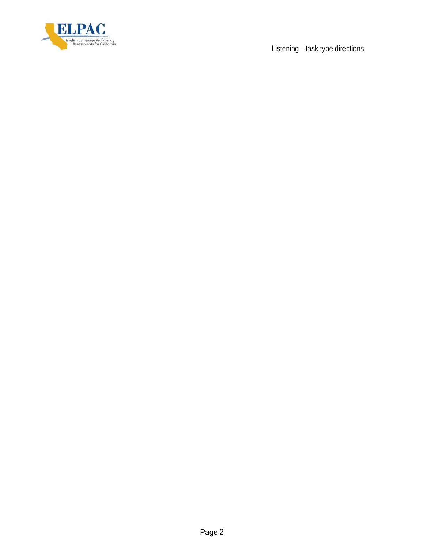

Listening—task type directions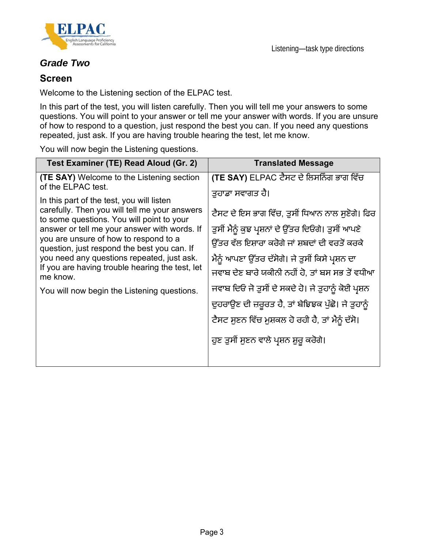



## *Grade Two*

#### **Screen**

Welcome to the Listening section of the ELPAC test.

In this part of the test, you will listen carefully. Then you will tell me your answers to some questions. You will point to your answer or tell me your answer with words. If you are unsure of how to respond to a question, just respond the best you can. If you need any questions repeated, just ask. If you are having trouble hearing the test, let me know.

You will now begin the Listening questions.

| Test Examiner (TE) Read Aloud (Gr. 2)                                                                                                                                                                                                            | <b>Translated Message</b>                           |
|--------------------------------------------------------------------------------------------------------------------------------------------------------------------------------------------------------------------------------------------------|-----------------------------------------------------|
| <b>(TE SAY)</b> Welcome to the Listening section<br>of the ELPAC test.                                                                                                                                                                           | (TE SAY) ELPAC ਟੈਸਟ ਦੇ ਲਿਸਨਿੰਗ ਭਾਗ ਵਿੱਚ             |
| In this part of the test, you will listen                                                                                                                                                                                                        | ਤੁਹਾਡਾ ਸਵਾਗਤ ਹੈ।                                    |
| carefully. Then you will tell me your answers<br>to some questions. You will point to your                                                                                                                                                       | ਟੈਸਟ ਦੇ ਇਸ ਭਾਗ ਵਿੱਚ, ਤੁਸੀਂ ਧਿਆਨ ਨਾਲ ਸੁਣੋਗੇ। ਫਿਰ     |
| answer or tell me your answer with words. If                                                                                                                                                                                                     | ਤੁਸੀਂ ਮੈਨੂੰ ਕੁਝ ਪ੍ਰਸ਼ਨਾਂ ਦੇ ਉੱਤਰ ਦਿਓਗੇ। ਤੁਸੀਂ ਆਪਣੇ  |
| you are unsure of how to respond to a<br>question, just respond the best you can. If<br>you need any questions repeated, just ask.<br>If you are having trouble hearing the test, let<br>me know.<br>You will now begin the Listening questions. | ਉੱਤਰ ਵੱਲ ਇਸ਼ਾਰਾ ਕਰੋਗੇ ਜਾਂ ਸ਼ਬਦਾਂ ਦੀ ਵਰਤੋਂ ਕਰਕੇ      |
|                                                                                                                                                                                                                                                  | ਮੈਨੂੰ ਆਪਣਾ ਉੱਤਰ ਦੱਸੋਗੇ। ਜੇ ਤੁਸੀਂ ਕਿਸੇ ਪ੍ਰਸ਼ਨ ਦਾ     |
|                                                                                                                                                                                                                                                  | ਜਵਾਬ ਦੇਣ ਬਾਰੇ ਯਕੀਨੀ ਨਹੀਂ ਹੋ, ਤਾਂ ਬਸ ਸਭ ਤੋਂ ਵਧੀਆ     |
|                                                                                                                                                                                                                                                  | ਜਵਾਬ ਦਿਓ ਜੋ ਤੁਸੀਂ ਦੇ ਸਕਦੇ ਹੋ। ਜੇ ਤੁਹਾਨੂੰ ਕੋਈ ਪ੍ਰਸ਼ਨ |
|                                                                                                                                                                                                                                                  | ਦੁਹਰਾਉਣ ਦੀ ਜ਼ਰੁਰਤ ਹੈ, ਤਾਂ ਬੇਝਿਝਕ ਪੁੱਛੋ। ਜੇ ਤੁਹਾਨੂੰ  |
|                                                                                                                                                                                                                                                  | ਟੈਸਟ ਸੁਣਨ ਵਿੱਚ ਮੁਸ਼ਕਲ ਹੋ ਰਹੀ ਹੈ, ਤਾਂ ਮੈਨੂੰ ਦੱਸੋ।    |
|                                                                                                                                                                                                                                                  | ਹੁਣ ਤੁਸੀਂ ਸੁਣਨ ਵਾਲੇ ਪ੍ਰਸ਼ਨ ਸ਼ੁਰੂ ਕਰੋਗੇ।             |
|                                                                                                                                                                                                                                                  |                                                     |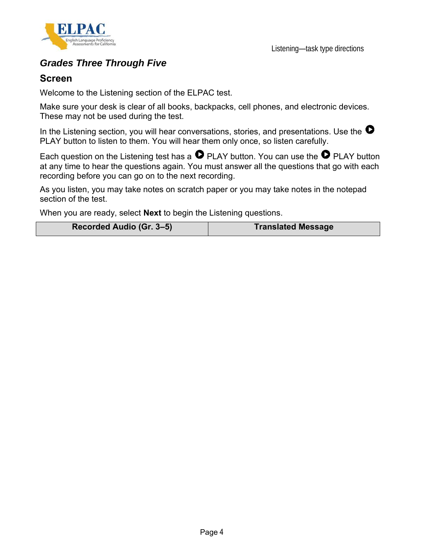

## *Grades Three Through Five*

#### **Screen**

Welcome to the Listening section of the ELPAC test.

Make sure your desk is clear of all books, backpacks, cell phones, and electronic devices. These may not be used during the test.

In the Listening section, you will hear conversations, stories, and presentations. Use the  $\bullet$ PLAY button to listen to them. You will hear them only once, so listen carefully.

Each question on the Listening test has a  $\bullet$  PLAY button. You can use the  $\bullet$  PLAY button at any time to hear the questions again. You must answer all the questions that go with each recording before you can go on to the next recording.

As you listen, you may take notes on scratch paper or you may take notes in the notepad section of the test.

When you are ready, select **Next** to begin the Listening questions.

**Recorded Audio (Gr. 3–5) Translated Message**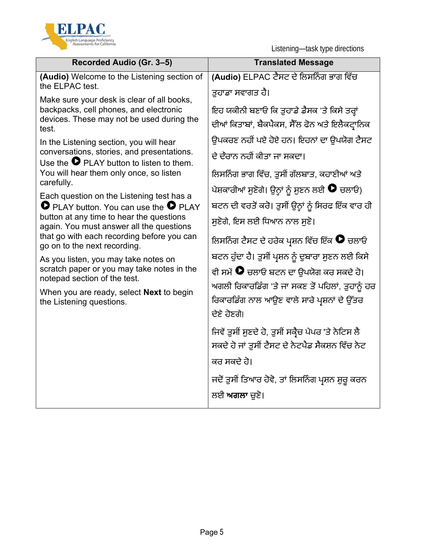

Listening—task type directions

| Recorded Audio (Gr. 3-5)                                                                                                                                                                                                                                                                                                                                                                                                                                                    | <b>Translated Message</b>                                                                                                                                      |
|-----------------------------------------------------------------------------------------------------------------------------------------------------------------------------------------------------------------------------------------------------------------------------------------------------------------------------------------------------------------------------------------------------------------------------------------------------------------------------|----------------------------------------------------------------------------------------------------------------------------------------------------------------|
| (Audio) Welcome to the Listening section of<br>the ELPAC test.                                                                                                                                                                                                                                                                                                                                                                                                              | (Audio) ELPAC ਟੈਸਟ ਦੇ ਲਿਸਨਿੰਗ ਭਾਗ ਵਿੱਚ                                                                                                                         |
| Make sure your desk is clear of all books,<br>backpacks, cell phones, and electronic<br>devices. These may not be used during the<br>test.                                                                                                                                                                                                                                                                                                                                  | ਤੁਹਾਡਾ ਸਵਾਗਤ ਹੈ।<br>ਇਹ ਯਕੀਨੀ ਬਣਾਓ ਕਿ ਤੁਹਾਡੇ ਡੈਸਕ 'ਤੇ ਕਿਸੇ ਤਰ੍ਹਾਂ<br>ਦੀਆਂ ਕਿਤਾਬਾਂ, ਬੈਕਪੈਕਸ, ਸੈੱਲ ਫੋਨ ਅਤੇ ਇਲੈਕਟ੍ਰਾਨਿਕ                                            |
| In the Listening section, you will hear<br>conversations, stories, and presentations.<br>Use the $\bullet$ PLAY button to listen to them.<br>You will hear them only once, so listen<br>carefully.                                                                                                                                                                                                                                                                          | ਉਪਕਰਣ ਨਹੀਂ ਪਏ ਹੋਏ ਹਨ। ਇਹਨਾਂ ਦਾ ਉਪਯੋਗ ਟੈਸਟ<br>ਦੇ ਦੇਰਾਨ ਨਹੀਂ ਕੀਤਾ ਜਾ ਸਕਦਾ।<br>ਲਿਸਨਿੰਗ ਭਾਗ ਵਿੱਚ, ਤੁਸੀਂ ਗੱਲਬਾਤ, ਕਹਾਣੀਆਂ ਅਤੇ                                        |
| Each question on the Listening test has a<br><b>O</b> PLAY button. You can use the <b>O</b> PLAY<br>button at any time to hear the questions<br>again. You must answer all the questions<br>that go with each recording before you can<br>go on to the next recording.<br>As you listen, you may take notes on<br>scratch paper or you may take notes in the<br>notepad section of the test.<br>When you are ready, select <b>Next</b> to begin<br>the Listening questions. | ਪੇਸ਼ਕਾਰੀਆਂ ਸੁਣੋਗੇ। ਉਨ੍ਹਾਂ ਨੂੰ ਸੁਣਨ ਲਈ ♥ੇ ਚਲਾਓ)<br>ਬਟਨ ਦੀ ਵਰਤੋਂ ਕਰੋ। ਤੁਸੀਂ ਉਨ੍ਹਾਂ ਨੂੰ ਸਿਰਫ ਇੱਕ ਵਾਰ ਹੀ<br>ਸੁਣੋਗੇ, ਇਸ ਲਈ ਧਿਆਨ ਨਾਲ ਸੁਣੋ।                           |
|                                                                                                                                                                                                                                                                                                                                                                                                                                                                             | ਲਿਸਨਿੰਗ ਟੈਸਟ ਦੇ ਹਰੇਕ ਪ੍ਰਸ਼ਨ ਵਿੱਚ ਇੱਕ <b>Ø</b> ਚਲਾਓ<br>ਬਟਨ ਹੁੰਦਾ ਹੈ। ਤੁਸੀਂ ਪ੍ਰਸ਼ਨ ਨੂੰ ਦੁਬਾਰਾ ਸੁਣਨ ਲਈ ਕਿਸੇ<br>ਵੀ ਸਮੇਂ <sup>1</sup> ਚਲਾਓ ਬਟਨ ਦਾ ਉਪਯੋਗ ਕਰ ਸਕਦੇ ਹੋ। |
|                                                                                                                                                                                                                                                                                                                                                                                                                                                                             | ਅਗਲੀ ਰਿਕਾਰਡਿੰਗ 'ਤੇ ਜਾ ਸਕਣ ਤੋਂ ਪਹਿਲਾਂ, ਤੁਹਾਨੂੰ ਹਰ<br>ਰਿਕਾਰਡਿੰਗ ਨਾਲ ਆਉਣ ਵਾਲੇ ਸਾਰੇ ਪ੍ਰਸ਼ਨਾਂ ਦੇ ਉੱਤਰ<br>ਦੇਣੇ ਹੋਣਗੇ।                                                |
|                                                                                                                                                                                                                                                                                                                                                                                                                                                                             | ਜਿਵੇਂ ਤੁਸੀਂ ਸੁਣਦੇ ਹੋ, ਤੁਸੀਂ ਸਕ੍ਰੈਚ ਪੇਪਰ 'ਤੇ ਨੋਟਿਸ ਲੈ<br>ਸਕਦੇ ਹੋ ਜਾਂ ਤੁਸੀਂ ਟੈਸਟ ਦੇ ਨੋਟਪੈਡ ਸੈਕਸ਼ਨ ਵਿੱਚ ਨੋਟ<br>ਕਰ ਸਕਦੇ ਹੋ।                                        |
|                                                                                                                                                                                                                                                                                                                                                                                                                                                                             | ਜਦੋਂ ਤੁਸੀਂ ਤਿਆਰ ਹੋਵੋ, ਤਾਂ ਲਿਸਨਿੰਗ ਪ੍ਰਸ਼ਨ ਸ਼ੁਰੂ ਕਰਨ<br>ਲਈ <b>ਅਗਲਾ</b> ਚੁਣੋ।                                                                                     |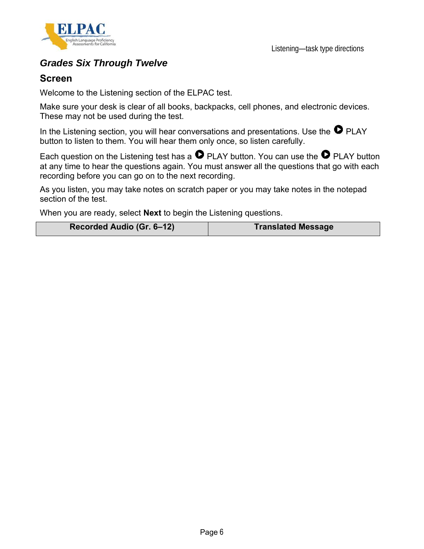

## *Grades Six Through Twelve*

#### **Screen**

Welcome to the Listening section of the ELPAC test.

Make sure your desk is clear of all books, backpacks, cell phones, and electronic devices. These may not be used during the test.

In the Listening section, you will hear conversations and presentations. Use the  $\bullet$  PLAY button to listen to them. You will hear them only once, so listen carefully.

Each question on the Listening test has a  $\bullet$  PLAY button. You can use the  $\bullet$  PLAY button at any time to hear the questions again. You must answer all the questions that go with each recording before you can go on to the next recording.

As you listen, you may take notes on scratch paper or you may take notes in the notepad section of the test.

When you are ready, select **Next** to begin the Listening questions.

**Recorded Audio (Gr. 6–12) Translated Message**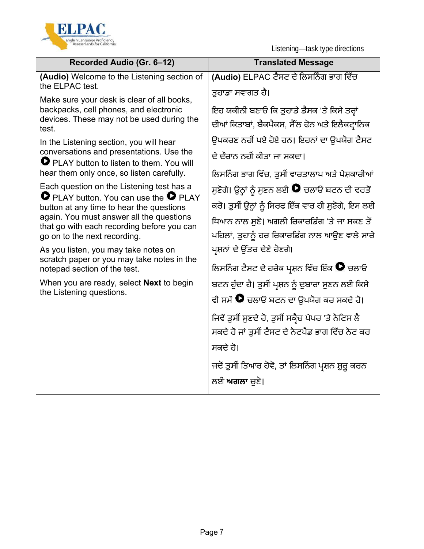

Listening—task type directions

| Recorded Audio (Gr. 6-12)                                                                        | <b>Translated Message</b>                             |
|--------------------------------------------------------------------------------------------------|-------------------------------------------------------|
| (Audio) Welcome to the Listening section of<br>the ELPAC test.                                   | (Audio) ELPAC ਟੈਸਟ ਦੇ ਲਿਸਨਿੰਗ ਭਾਗ ਵਿੱਚ                |
| Make sure your desk is clear of all books,                                                       | ਤੁਹਾਡਾ ਸਵਾਗਤ ਹੈ।                                      |
| backpacks, cell phones, and electronic                                                           | ਇਹ ਯਕੀਨੀ ਬਣਾਓ ਕਿ ਤੁਹਾਡੇ ਡੈਸਕ 'ਤੇ ਕਿਸੇ ਤਰ੍ਹਾਂ          |
| devices. These may not be used during the<br>test.                                               | ਦੀਆਂ ਕਿਤਾਬਾਂ, ਬੈਕਪੈਕਸ, ਸੈੱਲ ਫੋਨ ਅਤੇ ਇਲੈਕਟ੍ਰਾਨਿਕ       |
| In the Listening section, you will hear                                                          | ਉਪਕਰਣ ਨਹੀਂ ਪਏ ਹੋਏ ਹਨ। ਇਹਨਾਂ ਦਾ ਉਪਯੋਗ ਟੈਸਟ             |
| conversations and presentations. Use the<br>PLAY button to listen to them. You will              | ਦੇ ਦੌਰਾਨ ਨਹੀਂ ਕੀਤਾ ਜਾ ਸਕਦਾ।                           |
| hear them only once, so listen carefully.                                                        | ਲਿਸਨਿੰਗ ਭਾਗ ਵਿੱਚ, ਤੁਸੀਂ ਵਾਰਤਾਲਾਪ ਅਤੇ ਪੇਸ਼ਕਾਰੀਆਂ       |
| Each question on the Listening test has a<br><b>D</b> PLAY button. You can use the <b>D</b> PLAY | ਸੁਣੋਗੇ। ਉਨ੍ਹਾਂ ਨੂੰ ਸੁਣਨ ਲਈ <b>©</b> ਚਲਾਓ ਬਟਨ ਦੀ ਵਰਤੋਂ |
| button at any time to hear the questions                                                         | ਕਰੋ। ਤੁਸੀਂ ਉਨ੍ਹਾਂ ਨੂੰ ਸਿਰਫ ਇੱਕ ਵਾਰ ਹੀ ਸੁਣੋਗੇ, ਇਸ ਲਈ   |
| again. You must answer all the questions<br>that go with each recording before you can           | ਧਿਆਨ ਨਾਲ ਸੁਣੋ। ਅਗਲੀ ਰਿਕਾਰਡਿੰਗ 'ਤੇ ਜਾ ਸਕਣ ਤੋਂ          |
| go on to the next recording.                                                                     | ਪਹਿਲਾਂ, ਤੁਹਾਨੂੰ ਹਰ ਰਿਕਾਰਡਿੰਗ ਨਾਲ ਆਉਣ ਵਾਲੇ ਸਾਰੇ        |
| As you listen, you may take notes on                                                             | ਪ੍ਰਸ਼ਨਾਂ ਦੇ ਉੱਤਰ ਦੇਣੇ ਹੋਣਗੇ।                          |
| scratch paper or you may take notes in the<br>notepad section of the test.                       | ਲਿਸਨਿੰਗ ਟੈਸਟ ਦੇ ਹਰੇਕ ਪ੍ਰਸ਼ਨ ਵਿੱਚ ਇੱਕ <b>V</b> ਚਲਾਓ    |
| When you are ready, select <b>Next</b> to begin                                                  | ਬਟਨ ਹੁੰਦਾ ਹੈ। ਤੁਸੀਂ ਪ੍ਰਸ਼ਨ ਨੂੰ ਦੁਬਾਰਾ ਸੁਣਨ ਲਈ ਕਿਸੇ    |
| the Listening questions.                                                                         | ਵੀ ਸਮੇਂ <sup>1</sup> ਚਲਾਓ ਬਟਨ ਦਾ ਉਪਯੋਗ ਕਰ ਸਕਦੇ ਹੋ।    |
|                                                                                                  | ਜਿਵੇਂ ਤੁਸੀਂ ਸੁਣਦੇ ਹੋ, ਤੁਸੀਂ ਸਕ੍ਰੈਚ ਪੇਪਰ 'ਤੇ ਨੋਟਿਸ ਲੈ  |
|                                                                                                  | ਸਕਦੇ ਹੋ ਜਾਂ ਤੁਸੀਂ ਟੈਸਟ ਦੇ ਨੋਟਪੈਡ ਭਾਗ ਵਿੱਚ ਨੋਟ ਕਰ      |
|                                                                                                  | ਸਕਦੇ ਹੋ।                                              |
|                                                                                                  | ਜਦੋਂ ਤੁਸੀਂ ਤਿਆਰ ਹੋਵੋ, ਤਾਂ ਲਿਸਨਿੰਗ ਪ੍ਰਸ਼ਨ ਸ਼ੁਰੂ ਕਰਨ    |
|                                                                                                  | ਲਈ <b>ਅਗਲਾ</b> ਚਣੋ।                                   |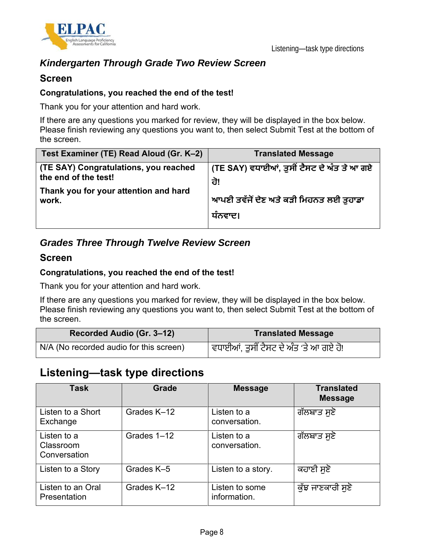

## *Kindergarten Through Grade Two Review Screen*

#### **Screen**

#### **Congratulations, you reached the end of the test!**

Thank you for your attention and hard work.

If there are any questions you marked for review, they will be displayed in the box below. Please finish reviewing any questions you want to, then select Submit Test at the bottom of the screen.

| Test Examiner (TE) Read Aloud (Gr. K-2) | <b>Translated Message</b>                  |
|-----------------------------------------|--------------------------------------------|
| (TE SAY) Congratulations, you reached   | (TE SAY) ਵਧਾਈਆਂ, ਤੁਸੀਂ ਟੈਸਟ ਦੇ ਅੰਤ ਤੇ ਆ ਗਏ |
| the end of the test!                    | ਹੋ!                                        |
| Thank you for your attention and hard   | ਆਪਣੀ ਤਵੱਜੋਂ ਦੇਣ ਅਤੇ ਕੜੀ ਮਿਹਨਤ ਲਈ ਤੁਹਾਡਾ    |
| work.                                   | ਧਨਵਾਦ।                                     |

## *Grades Three Through Twelve Review Screen*

#### **Screen**

#### **Congratulations, you reached the end of the test!**

Thank you for your attention and hard work.

If there are any questions you marked for review, they will be displayed in the box below. Please finish reviewing any questions you want to, then select Submit Test at the bottom of the screen.

| Recorded Audio (Gr. 3-12)               | <b>Translated Message</b>                |
|-----------------------------------------|------------------------------------------|
| N/A (No recorded audio for this screen) | l ਵਧਾਈਆਂ, ਤੁਸੀਂ ਟੈਸਟ ਦੇ ਅੰਤ 'ਤੇ ਆ ਗਏ ਹੋ! |

## **Listening—task type directions**

| <b>Task</b>                              | Grade       | <b>Message</b>                 | <b>Translated</b><br><b>Message</b> |
|------------------------------------------|-------------|--------------------------------|-------------------------------------|
| Listen to a Short<br>Exchange            | Grades K-12 | Listen to a<br>conversation.   | ਗੱਲਬਾਤ ਸਣੇ                          |
| Listen to a<br>Classroom<br>Conversation | Grades 1-12 | Listen to a<br>conversation.   | ਗੱਲਬਾਤ ਸਣੇ                          |
| Listen to a Story                        | Grades K-5  | Listen to a story.             | ਕਹਾਣੀ ਸਣੋ                           |
| Listen to an Oral<br>Presentation        | Grades K-12 | Listen to some<br>information. | ਕੁੱਝ ਜਾਣਕਾਰੀ ਸੁਣੇ                   |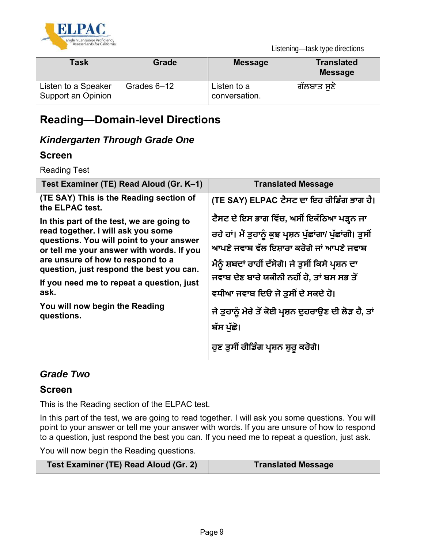



| Task                                      | Grade       | <b>Message</b>               | <b>Translated</b><br><b>Message</b> |
|-------------------------------------------|-------------|------------------------------|-------------------------------------|
| Listen to a Speaker<br>Support an Opinion | Grades 6-12 | Listen to a<br>conversation. | ਗੱਲਬਾਤ ਸਣੇ                          |

# **Reading—Domain-level Directions**

## *Kindergarten Through Grade One*

### **Screen**

Reading Test

| Test Examiner (TE) Read Aloud (Gr. K-1)                                                                                                                                                                                                                                                                                                                        | <b>Translated Message</b>                                                                                                                                                                                                                                                                                                                                          |
|----------------------------------------------------------------------------------------------------------------------------------------------------------------------------------------------------------------------------------------------------------------------------------------------------------------------------------------------------------------|--------------------------------------------------------------------------------------------------------------------------------------------------------------------------------------------------------------------------------------------------------------------------------------------------------------------------------------------------------------------|
| (TE SAY) This is the Reading section of<br>the ELPAC test.                                                                                                                                                                                                                                                                                                     | (TE SAY) ELPAC ਟੈਸਟ ਦਾ ਇਹ ਰੀਡਿੰਗ ਭਾਗ ਹੈ।                                                                                                                                                                                                                                                                                                                           |
| In this part of the test, we are going to<br>read together. I will ask you some<br>questions. You will point to your answer<br>or tell me your answer with words. If you<br>are unsure of how to respond to a<br>question, just respond the best you can.<br>If you need me to repeat a question, just<br>ask.<br>You will now begin the Reading<br>questions. | ਟੈਸਟ ਦੇ ਇਸ ਭਾਗ ਵਿੱਚ, ਅਸੀਂ ਇਕੱਠਿਆ ਪੜ੍ਹਨ ਜਾ<br>ਰਹੇ ਹਾਂ। ਮੈਂ ਤੁਹਾਨੂੰ ਕੁਝ ਪ੍ਰਸ਼ਨ ਪੁੱਛਾਂਗਾ/ ਪੁੱਛਾਂਗੀ। ਤੁਸੀਂ<br>ਆਪਣੇ ਜਵਾਬ ਵੱਲ ਇਸ਼ਾਰਾ ਕਰੋਗੇ ਜਾਂ ਆਪਣੇ ਜਵਾਬ<br>ਮੈਨੂੰ ਸ਼ਬਦਾਂ ਰਾਹੀਂ ਦੱਸੋਗੇ। ਜੇ ਤੁਸੀਂ ਕਿਸੇ ਪ੍ਰਸ਼ਨ ਦਾ<br>ਜਵਾਬ ਦੇਣ ਬਾਰੇ ਯਕੀਨੀ ਨਹੀਂ ਹੋ, ਤਾਂ ਬਸ ਸਭ ਤੋਂ<br>ਵਧੀਆ ਜਵਾਬ ਦਿਓ ਜੋ ਤੁਸੀਂ ਦੇ ਸਕਦੇ ਹੋ।<br>ਜੇ ਤੁਹਾਨੂੰ ਮੇਰੇ ਤੋਂ ਕੋਈ ਪ੍ਰਸ਼ਨ ਦੁਹਰਾਉਣ ਦੀ ਲੋੜ ਹੈ, ਤਾਂ<br>ਬੱਸ ਪੱਛੇ। |
|                                                                                                                                                                                                                                                                                                                                                                | ਹੁਣ ਤੁਸੀਂ ਰੀਡਿੰਗ ਪ੍ਰਸ਼ਨ ਸ਼ੁਰੂ ਕਰੋਗੇ।                                                                                                                                                                                                                                                                                                                               |

## *Grade Two*

#### **Screen**

This is the Reading section of the ELPAC test.

In this part of the test, we are going to read together. I will ask you some questions. You will point to your answer or tell me your answer with words. If you are unsure of how to respond to a question, just respond the best you can. If you need me to repeat a question, just ask.

You will now begin the Reading questions.

| Test Examiner (TE) Read Aloud (Gr. 2) | <b>Translated Message</b> |
|---------------------------------------|---------------------------|
|---------------------------------------|---------------------------|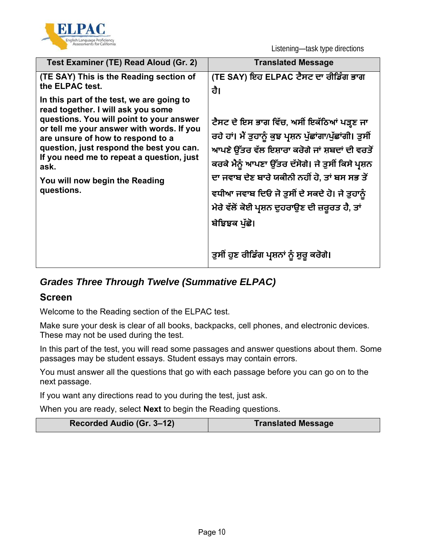

Listening—task type directions

| Test Examiner (TE) Read Aloud (Gr. 2)                                                                                                                                                                                                                                                                  | <b>Translated Message</b>                                                                                                                                                                                     |
|--------------------------------------------------------------------------------------------------------------------------------------------------------------------------------------------------------------------------------------------------------------------------------------------------------|---------------------------------------------------------------------------------------------------------------------------------------------------------------------------------------------------------------|
| (TE SAY) This is the Reading section of<br>the ELPAC test.                                                                                                                                                                                                                                             | (TE SAY) ਇਹ ELPAC ਟੈਸਟ ਦਾ ਰੀਡਿੰਗ ਭਾਗ<br>ਹੈ।                                                                                                                                                                   |
| In this part of the test, we are going to<br>read together. I will ask you some<br>questions. You will point to your answer<br>or tell me your answer with words. If you<br>are unsure of how to respond to a<br>question, just respond the best you can.<br>If you need me to repeat a question, just | ਟੈਸਟ ਦੇ ਇਸ ਭਾਗ ਵਿੱਚ, ਅਸੀਂ ਇਕੱਠਿਆਂ ਪੜ੍ਹਣ ਜਾ<br>ਰਹੇ ਹਾਂ। ਮੈਂ ਤੁਹਾਨੂੰ ਕੁਝ ਪ੍ਰਸ਼ਨ ਪੁੱਛਾਂਗਾ/ਪੁੱਛਾਂਗੀ। ਤੁਸੀਂ<br>ਆਪਣੇ ਉੱਤਰ ਵੱਲ ਇਸ਼ਾਰਾ ਕਰੋਗੇ ਜਾਂ ਸ਼ਬਦਾਂ ਦੀ ਵਰਤੋਂ<br>ਕਰਕੇ ਮੈਨੂੰ ਆਪਣਾ ਉੱਤਰ ਦੱਸੋਗੇ। ਜੇ ਤੁਸੀਂ ਕਿਸੇ ਪ੍ਰਸ਼ਨ |
| ask.<br>You will now begin the Reading                                                                                                                                                                                                                                                                 | ਦਾ ਜਵਾਬ ਦੇਣ ਬਾਰੇ ਯਕੀਨੀ ਨਹੀਂ ਹੋ, ਤਾਂ ਬਸ ਸਭ ਤੋਂ                                                                                                                                                                 |
| questions.                                                                                                                                                                                                                                                                                             | ਵਧੀਆ ਜਵਾਬ ਦਿਓ ਜੋ ਤੁਸੀਂ ਦੇ ਸਕਦੇ ਹੋ। ਜੇ ਤੁਹਾਨੂੰ<br>ਮੇਰੇ ਵੱਲੋਂ ਕੋਈ ਪ੍ਰਸ਼ਨ ਦੁਹਰਾਉਣ ਦੀ ਜ਼ਰੂਰਤ ਹੈ, ਤਾਂ<br>ਬੇਝਿਝਕ ਪੱਛੇ।                                                                                              |
|                                                                                                                                                                                                                                                                                                        | ਤੁਸੀਂ ਹੁਣ ਰੀਡਿੰਗ ਪ੍ਰਸ਼ਨਾਂ ਨੂੰ ਸ਼ੁਰੂ ਕਰੋਗੇ।                                                                                                                                                                    |

## *Grades Three Through Twelve (Summative ELPAC)*

#### **Screen**

Welcome to the Reading section of the ELPAC test.

Make sure your desk is clear of all books, backpacks, cell phones, and electronic devices. These may not be used during the test.

In this part of the test, you will read some passages and answer questions about them. Some passages may be student essays. Student essays may contain errors.

You must answer all the questions that go with each passage before you can go on to the next passage.

If you want any directions read to you during the test, just ask.

When you are ready, select **Next** to begin the Reading questions.

| Recorded Audio (Gr. 3-12) | <b>Translated Message</b> |
|---------------------------|---------------------------|
|                           |                           |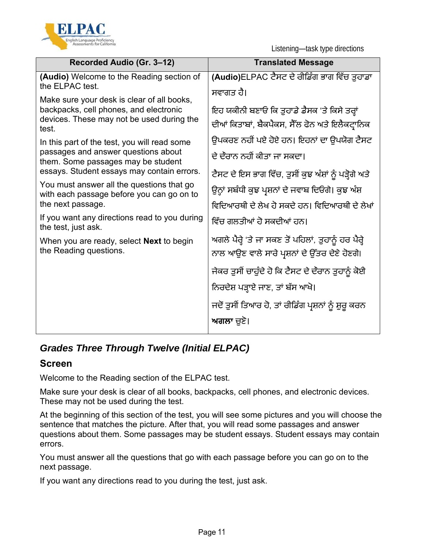

Listening—task type directions

| <b>Translated Message</b>                             |
|-------------------------------------------------------|
| (Audio)ELPAC ਟੈਸਟ ਦੇ ਰੀਡਿੰਗ ਭਾਗ ਵਿੱਚ ਤੁਹਾਡਾ           |
| ਸਵਾਗਤ ਹੈ।                                             |
| ਇਹ ਯਕੀਨੀ ਬਣਾਓ ਕਿ ਤੁਹਾਡੇ ਡੈਸਕ 'ਤੇ ਕਿਸੇ ਤਰ੍ਹਾਂ          |
| ਦੀਆਂ ਕਿਤਾਬਾਂ, ਬੈਕਪੈਕਸ, ਸੈੱਲ ਫੋਨ ਅਤੇ ਇਲੈਕਟ੍ਰਾਨਿਕ       |
| ਉਪਕਰਣ ਨਹੀਂ ਪਏ ਹੋਏ ਹਨ। ਇਹਨਾਂ ਦਾ ਉਪਯੋਗ ਟੈਸਟ             |
| ਦੇ ਦੌਰਾਨ ਨਹੀਂ ਕੀਤਾ ਜਾ ਸਕਦਾ।                           |
| ਟੈਸਟ ਦੇ ਇਸ ਭਾਗ ਵਿੱਚ, ਤੁਸੀਂ ਕੁਝ ਅੰਸ਼ਾਂ ਨੂੰ ਪੜ੍ਹੋਗੇ ਅਤੇ |
| ਉਨ੍ਹਾਂ ਸਬੰਧੀ ਕੁਝ ਪ੍ਰਸ਼ਨਾਂ ਦੇ ਜਵਾਬ ਦਿਓਗੇ। ਕੁਝ ਅੰਸ਼     |
| ਵਿਦਿਆਰਥੀ ਦੇ ਲੇਖ ਹੋ ਸਕਦੇ ਹਨ। ਵਿਦਿਆਰਥੀ ਦੇ ਲੇਖਾਂ         |
| ਵਿੱਚ ਗਲਤੀਆਂ ਹੋ ਸਕਦੀਆਂ ਹਨ।                             |
| ਅਗਲੇ ਪੈਰ੍ਹੇ 'ਤੇ ਜਾ ਸਕਣ ਤੋਂ ਪਹਿਲਾਂ, ਤੁਹਾਨੂੰ ਹਰ ਪੈਰ੍ਹੇ  |
| ਨਾਲ ਆਉਣ ਵਾਲੇ ਸਾਰੇ ਪ੍ਰਸ਼ਨਾਂ ਦੇ ਉੱਤਰ ਦੇਣੇ ਹੋਣਗੇ।        |
| ਜੇਕਰ ਤੁਸੀਂ ਚਾਹੁੰਦੇ ਹੋ ਕਿ ਟੈਸਟ ਦੇ ਦੇਰਾਨ ਤੁਹਾਨੂੰ ਕੋਈ    |
| ਨਿਰਦੇਸ਼ ਪੜ੍ਹਾਏ ਜਾਣ, ਤਾਂ ਬੱਸ ਆਖੋ।                      |
| ਜਦੋਂ ਤੁਸੀਂ ਤਿਆਰ ਹੋ, ਤਾਂ ਰੀਡਿੰਗ ਪ੍ਰਸ਼ਨਾਂ ਨੂੰ ਸ਼ੁਰੂ ਕਰਨ |
| ਅਗਲਾ ਚੁਣੇ।                                            |
|                                                       |

# *Grades Three Through Twelve (Initial ELPAC)*

## **Screen**

Welcome to the Reading section of the ELPAC test.

Make sure your desk is clear of all books, backpacks, cell phones, and electronic devices. These may not be used during the test.

At the beginning of this section of the test, you will see some pictures and you will choose the sentence that matches the picture. After that, you will read some passages and answer questions about them. Some passages may be student essays. Student essays may contain errors.

You must answer all the questions that go with each passage before you can go on to the next passage.

If you want any directions read to you during the test, just ask.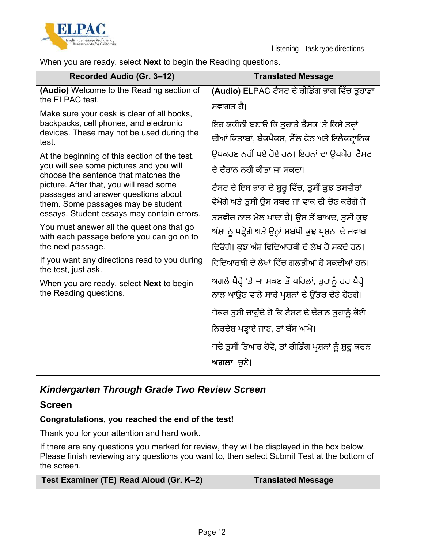



When you are ready, select **Next** to begin the Reading questions.

| Recorded Audio (Gr. 3-12)                                                              | <b>Translated Message</b>                                |
|----------------------------------------------------------------------------------------|----------------------------------------------------------|
| (Audio) Welcome to the Reading section of<br>the ELPAC test.                           | (Audio) ELPAC ਟੈਸਟ ਦੇ ਰੀਡਿੰਗ ਭਾਗ ਵਿੱਚ ਤੁਹਾਡਾ             |
| Make sure your desk is clear of all books,                                             | ਸਵਾਗਤ ਹੈ।                                                |
| backpacks, cell phones, and electronic<br>devices. These may not be used during the    | ਇਹ ਯਕੀਨੀ ਬਣਾਓ ਕਿ ਤੁਹਾਡੇ ਡੈਸਕ 'ਤੇ ਕਿਸੇ ਤਰ੍ਹਾਂ             |
| test.                                                                                  | ਦੀਆਂ ਕਿਤਾਬਾਂ, ਬੈਕਪੈਕਸ, ਸੈੱਲ ਫੋਨ ਅਤੇ ਇਲੈਕਟ੍ਰਾਨਿਕ          |
| At the beginning of this section of the test,                                          | ਉਪਕਰਣ ਨਹੀਂ ਪਏ ਹੋਏ ਹਨ। ਇਹਨਾਂ ਦਾ ਉਪਯੋਗ ਟੈਸਟ                |
| you will see some pictures and you will<br>choose the sentence that matches the        | ਦੇ ਦੇਰਾਨ ਨਹੀਂ ਕੀਤਾ ਜਾ ਸਕਦਾ।                              |
| picture. After that, you will read some<br>passages and answer questions about         | ਟੈਸਟ ਦੇ ਇਸ ਭਾਗ ਦੇ ਸ਼ੁਰੁ ਵਿੱਚ, ਤੁਸੀਂ ਕੁਝ ਤਸਵੀਰਾਂ          |
| them. Some passages may be student                                                     | ਵੇਖੋਗੇ ਅਤੇ ਤੁਸੀਂ ਉਸ ਸ਼ਬਦ ਜਾਂ ਵਾਕ ਦੀ ਚੋਣ ਕਰੋਗੇ ਜੋ         |
| essays. Student essays may contain errors.                                             | ਤਸਵੀਰ ਨਾਲ ਮੇਲ ਖਾਂਦਾ ਹੈ। ਉਸ ਤੋਂ ਬਾਅਦ, ਤੁਸੀਂ ਕੁਝ           |
| You must answer all the questions that go<br>with each passage before you can go on to | ਅੰਸ਼ਾਂ ਨੂੰ ਪੜ੍ਹੋਗੇ ਅਤੇ ਉਨ੍ਹਾਂ ਸਬੰਧੀ ਕੁਝ ਪ੍ਰਸ਼ਨਾਂ ਦੇ ਜਵਾਬ |
| the next passage.                                                                      | ਦਿਓਗੇ। ਕੁਝ ਅੰਸ਼ ਵਿਦਿਆਰਥੀ ਦੇ ਲੇਖ ਹੋ ਸਕਦੇ ਹਨ।              |
| If you want any directions read to you during<br>the test, just ask.                   | ਵਿਦਿਆਰਥੀ ਦੇ ਲੇਖਾਂ ਵਿੱਚ ਗਲਤੀਆਂ ਹੋ ਸਕਦੀਆਂ ਹਨ।              |
| When you are ready, select <b>Next</b> to begin                                        | ਅਗਲੇ ਪੈਰ੍ਹੇ 'ਤੇ ਜਾ ਸਕਣ ਤੋਂ ਪਹਿਲਾਂ, ਤੁਹਾਨੂੰ ਹਰ ਪੈਰ੍ਹੇ     |
| the Reading questions.                                                                 | ਨਾਲ ਆਉਣ ਵਾਲੇ ਸਾਰੇ ਪ੍ਰਸ਼ਨਾਂ ਦੇ ਉੱਤਰ ਦੇਣੇ ਹੋਣਗੇ।           |
|                                                                                        | ਜੇਕਰ ਤੁਸੀਂ ਚਾਹੁੰਦੇ ਹੋ ਕਿ ਟੈਸਟ ਦੇ ਦੰਰਾਨ ਤੁਹਾਨੂੰ ਕੋਈ       |
|                                                                                        | ਨਿਰਦੇਸ਼ ਪੜ੍ਹਾਏ ਜਾਣ, ਤਾਂ ਬੱਸ ਆਖੋ।                         |
|                                                                                        | ਜਦੋਂ ਤੁਸੀਂ ਤਿਆਰ ਹੋਵੋ, ਤਾਂ ਰੀਡਿੰਗ ਪ੍ਰਸ਼ਨਾਂ ਨੂੰ ਸ਼ੁਰੂ ਕਰਨ  |
|                                                                                        | ਅਗਲਾ <b>ਚੁ</b> ਣੋ।                                       |

## *Kindergarten Through Grade Two Review Screen*

#### **Screen**

#### **Congratulations, you reached the end of the test!**

Thank you for your attention and hard work.

If there are any questions you marked for review, they will be displayed in the box below. Please finish reviewing any questions you want to, then select Submit Test at the bottom of the screen.

|  | Test Examiner (TE) Read Aloud (Gr. K-2) | <b>Translated Message</b> |
|--|-----------------------------------------|---------------------------|
|--|-----------------------------------------|---------------------------|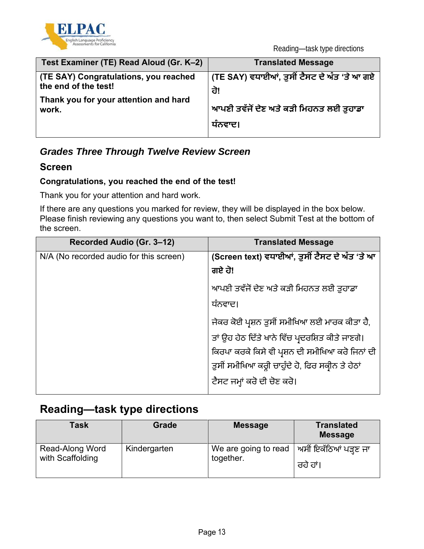

Reading—task type directions

| Test Examiner (TE) Read Aloud (Gr. K-2) | <b>Translated Message</b>                   |
|-----------------------------------------|---------------------------------------------|
| (TE SAY) Congratulations, you reached   | (TE SAY) ਵਧਾਈਆਂ, ਤੁਸੀਂ ਟੈਸਟ ਦੇ ਅੰਤ 'ਤੇ ਆ ਗਏ |
| the end of the test!                    | ਹੋ!                                         |
| Thank you for your attention and hard   | ਆਪਣੀ ਤਵੱਜੋਂ ਦੇਣ ਅਤੇ ਕੜੀ ਮਿਹਨਤ ਲਈ ਤੁਹਾਡਾ     |
| work.                                   | ਧਨਵਾਦ।                                      |

## *Grades Three Through Twelve Review Screen*

## **Screen**

#### **Congratulations, you reached the end of the test!**

Thank you for your attention and hard work.

If there are any questions you marked for review, they will be displayed in the box below. Please finish reviewing any questions you want to, then select Submit Test at the bottom of the screen.

| Recorded Audio (Gr. 3-12)               | <b>Translated Message</b>                          |
|-----------------------------------------|----------------------------------------------------|
| N/A (No recorded audio for this screen) | (Screen text) ਵਧਾਈਆਂ, ਤੁਸੀਂ ਟੈਸਟ ਦੇ ਅੰਤ 'ਤੇ ਆ      |
|                                         | ਗਏ ਹੋ!                                             |
|                                         | ਆਪਣੀ ਤਵੱਜੋਂ ਦੇਣ ਅਤੇ ਕੜੀ ਮਿਹਨਤ ਲਈ ਤੁਹਾਡਾ            |
|                                         | ਧੰਨਵਾਦ।                                            |
|                                         | ਜੇਕਰ ਕੋਈ ਪ੍ਰਸ਼ਨ ਤੁਸੀਂ ਸਮੀਖਿਆ ਲਈ ਮਾਰਕ ਕੀਤਾ ਹੈ,      |
|                                         | ਤਾਂ ਉਹ ਹੇਠ ਦਿੱਤੇ ਖਾਨੇ ਵਿੱਚ ਪ੍ਰਦਰਸ਼ਿਤ ਕੀਤੇ ਜਾਣਗੇ।   |
|                                         | ਕਿਰਪਾ ਕਰਕੇ ਕਿਸੇ ਵੀ ਪ੍ਰਸ਼ਨ ਦੀ ਸਮੀਖਿਆ ਕਰੋ ਜਿਨਾਂ ਦੀ   |
|                                         | ਤੁਸੀਂ ਸਮੀਖਿਆ ਕਰ੍ਹੀ ਚਾਹੁੰਦੇ ਹੋ, ਫਿਰ ਸਕ੍ਰੀਨ ਤੇ ਹੇਠਾਂ |
|                                         | ਟੈਸਟ ਜਮ੍ਹਾਂ ਕਰੋ ਦੀ ਚੋਣ ਕਰੋ।                        |

# **Reading—task type directions**

| Task             | Grade        | <b>Message</b>       | <b>Translated</b><br><b>Message</b> |
|------------------|--------------|----------------------|-------------------------------------|
| Read-Along Word  | Kindergarten | We are going to read | ਅਸੀਂ ਇਕੱਠਿਆਂ ਪੜਣ ਜਾ                 |
| with Scaffolding |              | together.            | ਰਹੇ ਹਾਂ।                            |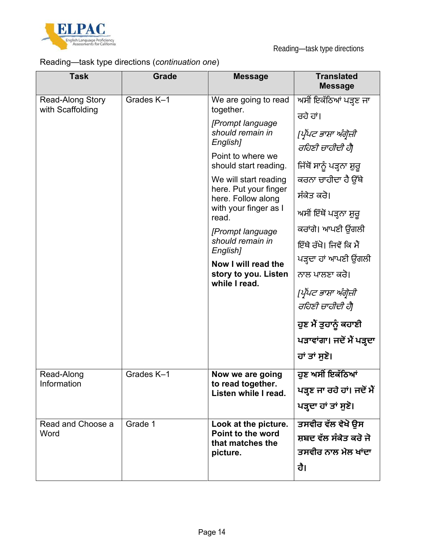

# Reading—task type directions (*continuation one*)

| <b>Task</b>                                 | <b>Grade</b> | <b>Message</b>                                                                                                                                                                                                                                                                                                                                                    | <b>Translated</b><br><b>Message</b>                                                                                                                                                                                                                                                                                                                                                             |
|---------------------------------------------|--------------|-------------------------------------------------------------------------------------------------------------------------------------------------------------------------------------------------------------------------------------------------------------------------------------------------------------------------------------------------------------------|-------------------------------------------------------------------------------------------------------------------------------------------------------------------------------------------------------------------------------------------------------------------------------------------------------------------------------------------------------------------------------------------------|
| <b>Read-Along Story</b><br>with Scaffolding | Grades K-1   | We are going to read<br>together.<br>[Prompt language<br>should remain in<br>English]<br>Point to where we<br>should start reading.<br>We will start reading<br>here. Put your finger<br>here. Follow along<br>with your finger as I<br>read.<br>[Prompt language<br>should remain in<br>English]<br>Now I will read the<br>story to you. Listen<br>while I read. | ਅਸੀਂ ਇਕੱਠਿਆਂ ਪੜ੍ਹਣ ਜਾ<br>ਰਹੇ ਹਾਂ।<br>[ਪ੍ਰੰਪਟ ਭਾਸ਼ਾ ਅੰਗ੍ਰੇਜ਼ੀ<br>ਰਹਿਣੀ ਚਾਹੀਦੀ ਹੈ <br>ਜਿੱਥੋਂ ਸਾਨੂੰ ਪੜ੍ਹਨਾ ਸ਼ੁਰੁ<br>ਕਰਨਾ ਚਾਹੀਦਾ ਹੈ ਉੱਥੇ<br>ਸੰਕੇਤ ਕਰੋ।<br>ਅਸੀਂ ਇੱਥੋਂ ਪੜ੍ਹਨਾ ਸ਼ੁਰੂ<br>ਕਰਾਂਗੇ। ਆਪਣੀ ਉਂਗਲੀ<br>ਇੱਥੇ ਰੱਖੋ। ਜਿਵੇਂ ਕਿ ਮੈਂ<br>ਪੜ੍ਹਦਾ ਹਾਂ ਆਪਣੀ ਉਂਗਲੀ<br>ਨਾਲ ਪਾਲਣਾ ਕਰੋ।<br>[ਪ੍ਰੰਪਟ ਭਾਸ਼ਾ ਅੰਗ੍ਰੇਜ਼ੀ<br>ਰਹਿਣੀ ਚਾਹੀਦੀ ਹੈ <br>ਹੁਣ ਮੈਂ ਤੁਹਾਨੂੰ ਕਹਾਣੀ<br>ਪੜਾਵਾਂਗਾ। ਜਦੋਂ ਮੈਂ ਪੜ੍ਹਦਾ<br>ਹਾਂ ਤਾਂ ਸੁਣੋ। |
| Read-Along<br>Information                   | Grades K-1   | Now we are going<br>to read together.<br>Listen while I read.                                                                                                                                                                                                                                                                                                     | ਹੁਣ ਅਸੀਂ ਇਕੱਠਿਆਂ<br>ਪੜ੍ਹਣ ਜਾ ਰਹੇ ਹਾਂ। ਜਦੋਂ ਮੈਂ<br>ਪੜ੍ਹਦਾ ਹਾਂ ਤਾਂ ਸੁਣੋ।                                                                                                                                                                                                                                                                                                                          |
| Read and Choose a<br>Word                   | Grade 1      | Look at the picture.<br>Point to the word<br>that matches the<br>picture.                                                                                                                                                                                                                                                                                         | ਤਸਵੀਰ ਵੱਲ ਵੇਖੋ ਉਸ<br>ਸ਼ਬਦ ਵੱਲ ਸੰਕੇਤ ਕਰੋ ਜੋ<br>ਤਸਵੀਰ ਨਾਲ ਮੇਲ ਖਾਂਦਾ<br>ਹੈ।                                                                                                                                                                                                                                                                                                                        |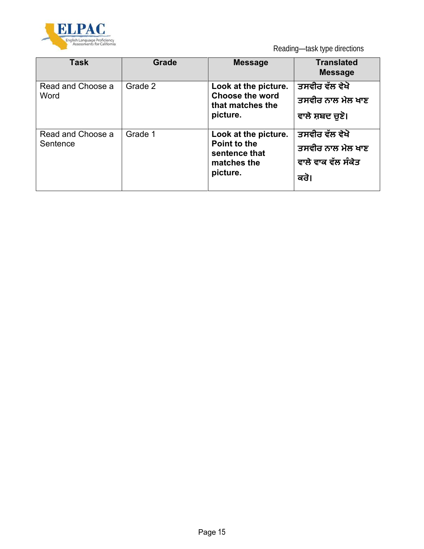

Reading—task type directions

| <b>Task</b>                   | <b>Grade</b> | <b>Message</b>                                                                   | <b>Translated</b><br><b>Message</b>                               |
|-------------------------------|--------------|----------------------------------------------------------------------------------|-------------------------------------------------------------------|
| Read and Choose a<br>Word     | Grade 2      | Look at the picture.<br><b>Choose the word</b><br>that matches the<br>picture.   | ਤਸਵੀਰ ਵੱਲ ਵੇਖੋ<br>ਤਸਵੀਰ ਨਾਲ ਮੇਲ ਖਾਣ<br>ਵਾਲੇ ਸ਼ਬਦ ਚੁਣੋ।            |
| Read and Choose a<br>Sentence | Grade 1      | Look at the picture.<br>Point to the<br>sentence that<br>matches the<br>picture. | ਤਸਵੀਰ ਵੱਲ ਵੇਖੋ<br>ਤਸਵੀਰ ਨਾਲ ਮੇਲ ਖਾਣ<br>ਵਾਲੇ ਵਾਕ ਵੱਲ ਸੰਕੇਤ<br>ਕਰੇ। |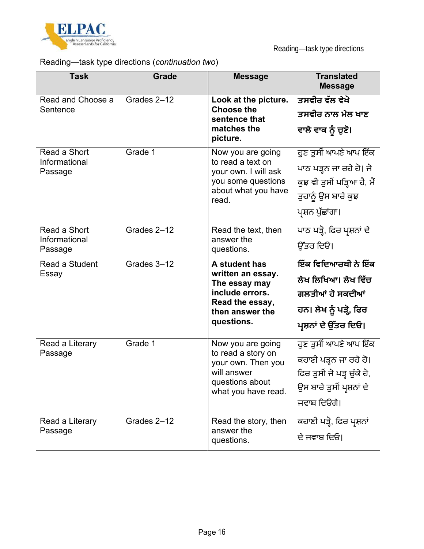

# Reading—task type directions (*continuation two*)

| <b>Task</b>                              | <b>Grade</b> | <b>Message</b>                                                                                                                   | <b>Translated</b><br><b>Message</b>                                                                                        |
|------------------------------------------|--------------|----------------------------------------------------------------------------------------------------------------------------------|----------------------------------------------------------------------------------------------------------------------------|
| Read and Choose a<br>Sentence            | Grades 2-12  | Look at the picture.<br><b>Choose the</b><br>sentence that<br>matches the                                                        | ਤਸਵੀਰ ਵੱਲ ਵੇਖੋ<br>ਤਸਵੀਰ ਨਾਲ ਮੇਲ ਖਾਣ<br>ਵਾਲੇ ਵਾਕ ਨੂੰ ਚੁਣੋ।                                                                  |
| Read a Short<br>Informational<br>Passage | Grade 1      | picture.<br>Now you are going<br>to read a text on<br>your own. I will ask<br>you some questions<br>about what you have<br>read. | ਹੁਣ ਤੁਸੀਂ ਆਪਣੇ ਆਪ ਇੱਕ<br>ਪਾਠ ਪੜ੍ਹਨ ਜਾ ਰਹੇ ਹੋ। ਜੇ<br>ਕੁਝ ਵੀ ਤੁਸੀਂ ਪੜ੍ਹਿਆ ਹੈ, ਮੈਂ<br>ਤੁਹਾਨੂੰ ਉਸ ਬਾਰੇ ਕੁਝ<br>ਪ੍ਰਸ਼ਨ ਪੁੱਛਾਂਗਾ। |
| Read a Short<br>Informational<br>Passage | Grades 2-12  | Read the text, then<br>answer the<br>questions.                                                                                  | ਪਾਠ ਪੜ੍ਹੇ, ਫਿਰ ਪ੍ਰਸ਼ਨਾਂ ਦੇ<br>ਉੱਤਰ ਦਿਓ।                                                                                    |
| Read a Student<br>Essay                  | Grades 3-12  | A student has<br>written an essay.<br>The essay may<br>include errors.<br>Read the essay,<br>then answer the<br>questions.       | ਇੱਕ ਵਿਦਿਆਰਥੀ ਨੇ ਇੱਕ<br>ਲੇਖ ਲਿਖਿਆ। ਲੇਖ ਵਿੱਚ<br>ਗਲਤੀਆਂ ਹੋ ਸਕਦੀਆਂ<br>ਹਨ। ਲੇਖ ਨੂੰ ਪੜ੍ਹੋ, ਫਿਰ<br>ਪ੍ਰਸ਼ਨਾਂ ਦੇ ਉੱਤਰ ਦਿਓ।          |
| Read a Literary<br>Passage               | Grade 1      | Now you are going<br>to read a story on<br>your own. Then you<br>will answer<br>questions about<br>what you have read.           | ਹੁਣ ਤੁਸੀਂ ਆਪਣੇ ਆਪ ਇੱਕ<br>ਕਹਾਣੀ ਪੜ੍ਹਨ ਜਾ ਰਹੇ ਹੋ।<br>ਫਿਰ ਤੁਸੀਂ ਜੋ ਪੜ੍ਹ ਚੁੱਕੇ ਹੋ,<br>ਉਸ ਬਾਰੇ ਤੁਸੀਂ ਪ੍ਰਸ਼ਨਾਂ ਦੇ<br>ਜਵਾਬ ਦਿਓਗੇ। |
| Read a Literary<br>Passage               | Grades 2-12  | Read the story, then<br>answer the<br>questions.                                                                                 | ਕਹਾਣੀ ਪੜ੍ਹੋ, ਫਿਰ ਪ੍ਰਸ਼ਨਾਂ<br>ਦੇ ਜਵਾਬ ਦਿਓ।                                                                                  |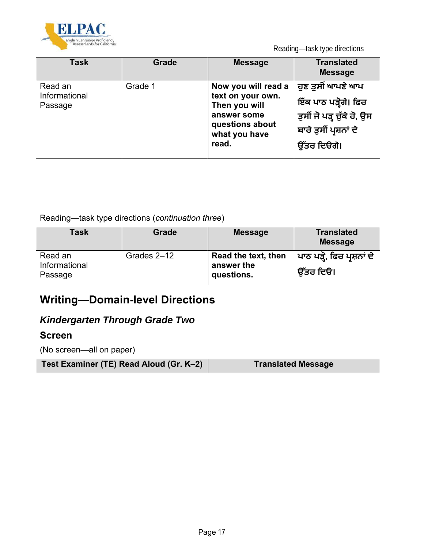

Reading—task type directions

| Task                                | Grade   | <b>Message</b>                                                                                                        | <b>Translated</b><br><b>Message</b>                                                                              |
|-------------------------------------|---------|-----------------------------------------------------------------------------------------------------------------------|------------------------------------------------------------------------------------------------------------------|
| Read an<br>Informational<br>Passage | Grade 1 | Now you will read a<br>text on your own.<br>Then you will<br>answer some<br>questions about<br>what you have<br>read. | ਹੁਣ ਤੁਸੀਂ ਆਪਣੇ ਆਪ<br>ਇੱਕ ਪਾਠ ਪੜ੍ਹੋਗੇ। ਫਿਰ<br>ਤੁਸੀਂ ਜੋ ਪੜ੍ਹ ਚੁੱਕੇ ਹੋ, ਉਸ<br>ਬਾਰੇ ਤੁਸੀਂ ਪ੍ਰਸ਼ਨਾਂ ਦੇ<br>ਉੱਤਰ ਦਿਓਗੇ। |

Reading—task type directions (*continuation three*)

| <b>Task</b>                         | <b>Grade</b> | <b>Message</b>                                  | <b>Translated</b><br><b>Message</b>     |
|-------------------------------------|--------------|-------------------------------------------------|-----------------------------------------|
| Read an<br>Informational<br>Passage | Grades 2-12  | Read the text, then<br>answer the<br>questions. | ਪਾਠ ਪੜ੍ਹੋ, ਫਿਰ ਪ੍ਰਸ਼ਨਾਂ ਦੇ<br>ੳੱਤਰ ਦਿਓ। |

# **Writing—Domain-level Directions**

## *Kindergarten Through Grade Two*

#### **Screen**

(No screen—all on paper)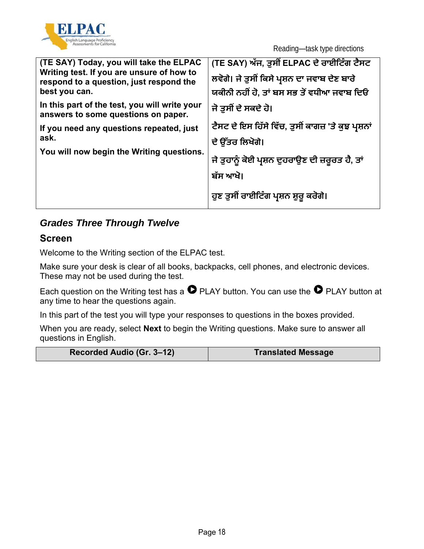

Reading—task type directions

| (TE SAY) Today, you will take the ELPAC                                              | (TE SAY) ਅੱਜ, ਤੁਸੀਂ ELPAC ਦੇ ਰਾਈਟਿੰਗ ਟੈਸਟ           |
|--------------------------------------------------------------------------------------|-----------------------------------------------------|
| Writing test. If you are unsure of how to<br>respond to a question, just respond the | ਲਵੋਗੇ। ਜੇ ਤੁਸੀਂ ਕਿਸੇ ਪ੍ਰਸ਼ਨ ਦਾ ਜਵਾਬ ਦੇਣ ਬਾਰੇ        |
| best you can.                                                                        | ਯਕੀਨੀ ਨਹੀਂ ਹੋ, ਤਾਂ ਬਸ ਸਭ ਤੋਂ ਵਧੀਆ ਜਵਾਬ ਦਿਓ          |
| In this part of the test, you will write your<br>answers to some questions on paper. | ਜੋ ਤਸੀਂ ਦੇ ਸਕਦੇ ਹੋ।                                 |
| If you need any questions repeated, just                                             | ਟੈਸਟ ਦੇ ਇਸ ਹਿੱਸੇ ਵਿੱਚ, ਤੁਸੀਂ ਕਾਗਜ਼ 'ਤੇ ਕੁਝ ਪ੍ਰਸ਼ਨਾਂ |
| ask.                                                                                 | ਦੇ ਉੱਤਰ ਲਿਖੇਗੇ।                                     |
| You will now begin the Writing questions.                                            | ਜੇ ਤੁਹਾਨੂੰ ਕੋਈ ਪ੍ਰਸ਼ਨ ਦੁਹਰਾਉਣ ਦੀ ਜ਼ਰੂਰਤ ਹੈ, ਤਾਂ     |
|                                                                                      | ਬੱਸ ਆਖੋ।                                            |
|                                                                                      | ਹੁਣ ਤੁਸੀਂ ਰਾਈਟਿੰਗ ਪ੍ਰਸ਼ਨ ਸ਼ੁਰੂ ਕਰੋਗੇ।               |
|                                                                                      |                                                     |

## *Grades Three Through Twelve*

#### **Screen**

Welcome to the Writing section of the ELPAC test.

Make sure your desk is clear of all books, backpacks, cell phones, and electronic devices. These may not be used during the test.

Each question on the Writing test has a  $\bullet$  PLAY button. You can use the  $\bullet$  PLAY button at any time to hear the questions again.

In this part of the test you will type your responses to questions in the boxes provided.

When you are ready, select **Next** to begin the Writing questions. Make sure to answer all questions in English.

| Recorded Audio (Gr. 3-12) | <b>Translated Message</b> |
|---------------------------|---------------------------|
|---------------------------|---------------------------|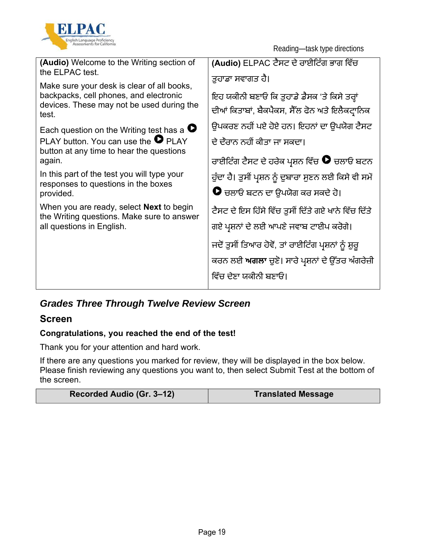

| (Audio) Welcome to the Writing section of<br>the ELPAC test.                                      | (Audio) ELPAC ਟੈਸਟ ਦੇ ਰਾਈਟਿੰਗ ਭਾਗ ਵਿੱਚ                  |  |
|---------------------------------------------------------------------------------------------------|---------------------------------------------------------|--|
| Make sure your desk is clear of all books,                                                        | ਤੁਹਾਡਾ ਸਵਾਗਤ ਹੈ।                                        |  |
| backpacks, cell phones, and electronic                                                            | ਇਹ ਯਕੀਨੀ ਬਣਾਓ ਕਿ ਤੁਹਾਡੇ ਡੈਸਕ 'ਤੇ ਕਿਸੇ ਤਰ੍ਹਾਂ            |  |
| devices. These may not be used during the<br>test.                                                | ਦੀਆਂ ਕਿਤਾਬਾਂ, ਬੈਕਪੈਕਸ, ਸੈੱਲ ਫੋਨ ਅਤੇ ਇਲੈਕਟ੍ਰਾਨਿਕ         |  |
| Each question on the Writing test has a $\bullet$                                                 | ਉਪਕਰਣ ਨਹੀਂ ਪਏ ਹੋਏ ਹਨ। ਇਹਨਾਂ ਦਾ ਉਪਯੋਗ ਟੈਸਟ               |  |
| PLAY button. You can use the $\bullet$ PLAY<br>button at any time to hear the questions<br>again. | ਦੇ ਦੌਰਾਨ ਨਹੀਂ ਕੀਤਾ ਜਾ ਸਕਦਾ।                             |  |
|                                                                                                   | ਰਾਈਟਿੰਗ ਟੈਸਟ ਦੇ ਹਰੇਕ ਪ੍ਰਸ਼ਨ ਵਿੱਚ <b>0</b> ਚਲਾਓ ਬਟਨ      |  |
| In this part of the test you will type your<br>responses to questions in the boxes<br>provided.   | ਹੁੰਦਾ ਹੈ। ਤੁਸੀਂ ਪ੍ਰਸ਼ਨ ਨੂੰ ਦੁਬਾਰਾ ਸੁਣਨ ਲਈ ਕਿਸੇ ਵੀ ਸਮੇਂ  |  |
|                                                                                                   | $\bullet$ ਚਲਾਓ ਬਟਨ ਦਾ ੳਪਯੋਗ ਕਰ ਸਕਦੇ ਹੋ।                 |  |
| When you are ready, select <b>Next</b> to begin<br>the Writing questions. Make sure to answer     | ਟੈਸਟ ਦੇ ਇਸ ਹਿੱਸੇ ਵਿੱਚ ਤੁਸੀਂ ਦਿੱਤੇ ਗਏ ਖਾਨੇ ਵਿੱਚ ਦਿੱਤੇ    |  |
| all questions in English.                                                                         | ਗਏ ਪ੍ਰਸ਼ਨਾਂ ਦੇ ਲਈ ਆਪਣੇ ਜਵਾਬ ਟਾਈਪ ਕਰੋਗੇ।                 |  |
|                                                                                                   | ਜਦੋਂ ਤੁਸੀਂ ਤਿਆਰ ਹੋਵੋਂ, ਤਾਂ ਰਾਈਟਿੰਗ ਪ੍ਰਸ਼ਨਾਂ ਨੂੰ ਸ਼ੁਰੂ   |  |
|                                                                                                   | ਕਰਨ ਲਈ <b>ਅਗਲਾ</b> ਚੁਣੋ। ਸਾਰੇ ਪ੍ਰਸ਼ਨਾਂ ਦੇ ਉੱਤਰ ਅੰਗਰੇਜ਼ੀ |  |
|                                                                                                   | ਵਿੱਚ ਦੇਣਾ ਯਕੀਨੀ ਬਣਾਓ।                                   |  |
|                                                                                                   |                                                         |  |

## *Grades Three Through Twelve Review Screen*

## **Screen**

#### **Congratulations, you reached the end of the test!**

Thank you for your attention and hard work.

If there are any questions you marked for review, they will be displayed in the box below. Please finish reviewing any questions you want to, then select Submit Test at the bottom of the screen.

| Recorded Audio (Gr. 3-12) | <b>Translated Message</b> |
|---------------------------|---------------------------|
|                           |                           |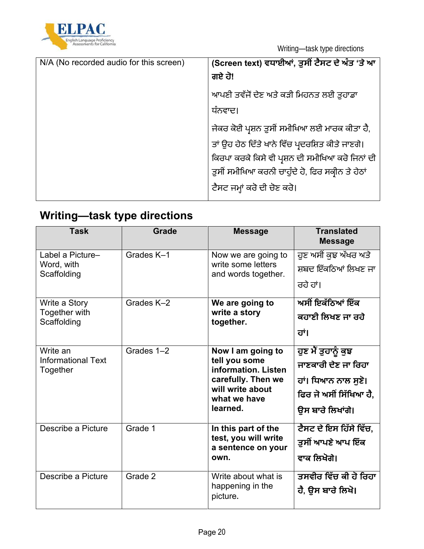

| N/A (No recorded audio for this screen) | (Screen text) ਵਧਾਈਆਂ, ਤੁਸੀਂ ਟੈਸਟ ਦੇ ਅੰਤ 'ਤੇ ਆ<br>ਗਏ ਹੋ! |
|-----------------------------------------|---------------------------------------------------------|
|                                         | ਆਪਣੀ ਤਵੱਜੋਂ ਦੇਣ ਅਤੇ ਕੜੀ ਮਿਹਨਤ ਲਈ ਤੁਹਾਡਾ                 |
|                                         | ਧੰਨਵਾਦ।                                                 |
|                                         | ਜੇਕਰ ਕੋਈ ਪ੍ਰਸ਼ਨ ਤੁਸੀਂ ਸਮੀਖਿਆ ਲਈ ਮਾਰਕ ਕੀਤਾ ਹੈ,           |
|                                         | ਤਾਂ ਉਹ ਹੇਠ ਦਿੱਤੇ ਖਾਨੇ ਵਿੱਚ ਪ੍ਰਦਰਸ਼ਿਤ ਕੀਤੇ ਜਾਣਗੇ।        |
|                                         | ਕਿਰਪਾ ਕਰਕੇ ਕਿਸੇ ਵੀ ਪ੍ਰਸ਼ਨ ਦੀ ਸਮੀਖਿਆ ਕਰੋ ਜਿਨਾਂ ਦੀ        |
|                                         | ਤੁਸੀਂ ਸਮੀਖਿਆ ਕਰਨੀ ਚਾਹੁੰਦੇ ਹੋ, ਫਿਰ ਸਕ੍ਰੀਨ ਤੇ ਹੇਠਾਂ       |
|                                         | ਟੈਸਟ ਜਮ੍ਹਾਂ ਕਰੋ ਦੀ ਚੋਣ ਕਰੋ।                             |

# **Writing—task type directions**

| <b>Task</b>                  | <b>Grade</b>                               | <b>Message</b>                                         | <b>Translated</b><br><b>Message</b> |
|------------------------------|--------------------------------------------|--------------------------------------------------------|-------------------------------------|
| Label a Picture-             | Grades K-1                                 | Now we are going to                                    | ਹੁਣ ਅਸੀਂ ਕੁਝ ਅੱਖਰ ਅਤੇ               |
| Word, with<br>Scaffolding    |                                            | write some letters<br>and words together.              | ਸ਼ਬਦ ਇੱਕਠਿਆਂ ਲਿਖਣ ਜਾ                |
|                              |                                            |                                                        | ਰਹੇ ਹਾਂ।                            |
| Write a Story                | Grades K-2                                 | We are going to                                        | ਅਸੀਂ ਇਕੱਠਿਆਂ ਇੱਕ                    |
| Together with<br>Scaffolding |                                            | write a story<br>together.                             | ਕਹਾਣੀ ਲਿਖਣ ਜਾ ਰਹੇ                   |
|                              |                                            |                                                        | ਹਾਂ।                                |
| Write an                     | Grades 1-2                                 | Now I am going to                                      | ਹੁਣ ਮੈਂ ਤੁਹਾਨੂੰ ਕੁਝ                 |
| Together                     | <b>Informational Text</b><br>tell you some | information. Listen                                    | ਜਾਣਕਾਰੀ ਦੇਣ ਜਾ ਰਿਹਾ                 |
|                              |                                            | carefully. Then we<br>will write about<br>what we have | ਹਾਂ। ਧਿਆਨ ਨਾਲ ਸੁਣੋ।                 |
|                              |                                            |                                                        | ਫਿਰ ਜੋ ਅਸੀਂ ਸਿੱਖਿਆ ਹੈ,              |
|                              |                                            | learned.                                               | ਉਸ ਬਾਰੇ ਲਿਖਾਂਗੇ।                    |
| Describe a Picture           | Grade 1                                    | In this part of the                                    | ਟੈਸਟ ਦੇ ਇਸ ਹਿੱਸੇ ਵਿੱਚ.              |
|                              |                                            | test, you will write<br>a sentence on your             | ਤੁਸੀਂ ਆਪਣੇ ਆਪ ਇੱਕ                   |
|                              |                                            | own.                                                   | ਵਾਕ ਲਿਖੋਗੇ।                         |
| Describe a Picture           | Grade 2                                    | Write about what is                                    | ਤਸਵੀਰ ਵਿੱਚ ਕੀ ਹੋ ਰਿਹਾ               |
|                              |                                            | happening in the<br>picture.                           | ਹੈ, ਉਸ ਬਾਰੇ ਲਿਖੋ।                   |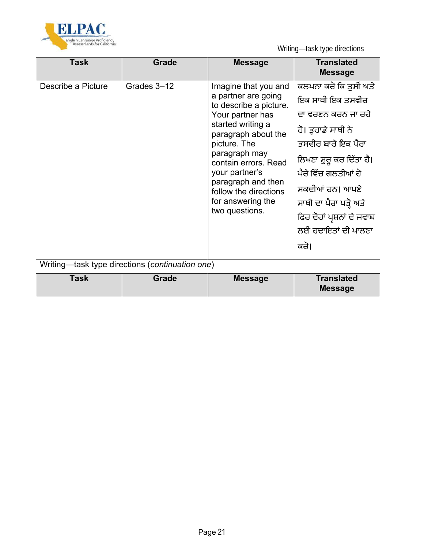

| <b>Task</b>        | Grade       | <b>Message</b>                                                                                                                                                                                                                                                                                         | <b>Translated</b><br><b>Message</b>                                                                                                                                                                                                                                       |
|--------------------|-------------|--------------------------------------------------------------------------------------------------------------------------------------------------------------------------------------------------------------------------------------------------------------------------------------------------------|---------------------------------------------------------------------------------------------------------------------------------------------------------------------------------------------------------------------------------------------------------------------------|
| Describe a Picture | Grades 3-12 | Imagine that you and<br>a partner are going<br>to describe a picture.<br>Your partner has<br>started writing a<br>paragraph about the<br>picture. The<br>paragraph may<br>contain errors. Read<br>your partner's<br>paragraph and then<br>follow the directions<br>for answering the<br>two questions. | ਕਲਪਨਾ ਕਰੋ ਕਿ ਤੁਸੀਂ ਅਤੇ<br>ਇਕ ਸਾਥੀ ਇਕ ਤਸਵੀਰ<br>ਦਾ ਵਰਣਨ ਕਰਨ ਜਾ ਰਹੇ<br>ਹੋ। ਤੁਹਾਡੇ ਸਾਥੀ ਨੇ<br>ਤਸਵੀਰ ਬਾਰੇ ਇਕ ਪੈਰਾ<br>ਲਿਖਣਾ ਸ਼ੁਰੁ ਕਰ ਦਿੱਤਾ ਹੈ।<br>ਪੈਰੇ ਵਿੱਚ ਗਲਤੀਆਂ ਹੋ<br>ਸਕਦੀਆਂ ਹਨ। ਆਪਣੇ<br>ਸਾਥੀ ਦਾ ਪੈਰਾ ਪੜ੍ਹੋ ਅਤੇ<br>ਫਿਰ ਦੋਹਾਂ ਪ੍ਰਸ਼ਨਾਂ ਦੇ ਜਵਾਬ<br>ਲਈ ਹਦਾਇਤਾਂ ਦੀ ਪਾਲਣਾ<br>ਕਰੋ। |

Writing—task type directions (*continuation one*)

| Task<br>Grade | <b>Message</b> | <b>Translated</b><br><b>Message</b> |
|---------------|----------------|-------------------------------------|
|---------------|----------------|-------------------------------------|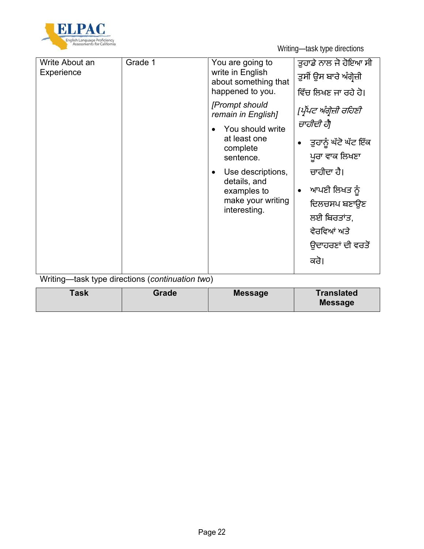

| Write About an<br>Experience | Grade 1 | You are going to<br>write in English<br>about something that<br>happened to you.                                                                                                        | ਤੁਹਾਡੇ ਨਾਲ ਜੋ ਹੋਇਆ ਸੀ<br>ਤੁਸੀਂ ਉਸ ਬਾਰੇ ਅੰਗ੍ਰੇਜ਼ੀ<br>ਵਿੱਚ ਲਿਖਣ ਜਾ ਰਹੇ ਹੋ।                                                                      |
|------------------------------|---------|-----------------------------------------------------------------------------------------------------------------------------------------------------------------------------------------|-----------------------------------------------------------------------------------------------------------------------------------------------|
|                              |         | [Prompt should<br>remain in English]<br>You should write<br>at least one<br>complete<br>sentence.<br>Use descriptions,<br>$\bullet$<br>details, and<br>examples to<br>make your writing | [ਪ੍ਰੰਪਟ ਅੰਗ੍ਰੇਜ਼ੀ ਰਹਿਣੀ<br>ਚਾਹੀਦੀ ਹੈ <br>• ਤੁਹਾਨੂੰ ਘੱਟੋ ਘੱਟ ਇੱਕ<br>ਪੁਰਾ ਵਾਕ ਲਿਖਣਾ<br>ਚਾਹੀਦਾ ਹੈ।<br>ਆਪਣੀ ਲਿਖਤ ਨੂੰ<br>$\bullet$<br>ਦਿਲਚਸਪ ਬਣਾਉਣ |
|                              |         | interesting.                                                                                                                                                                            | ਲਈ ਬਿਰਤਾਂਤ,<br>ਵੇਰਵਿਆਂ ਅਤੇ<br>ਉਦਾਹਰਣਾਂ ਦੀ ਵਰਤੋਂ<br>ਕਰੋ।                                                                                       |

Writing—task type directions (*continuation two*)

| <b>Task</b> |       |                | <b>Translated</b> |
|-------------|-------|----------------|-------------------|
|             | Grade | <b>Message</b> |                   |
|             |       |                | <b>Message</b>    |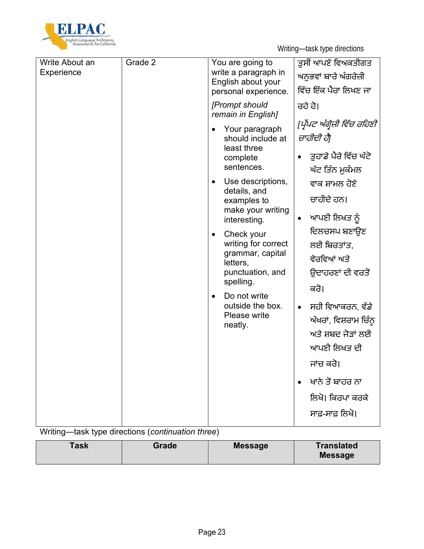

| Write About an<br>Experience | Grade 2                                 | You are going to<br>write a paragraph in                                | ਤੁਸੀਂ ਆਪਣੇ ਵਿਅਕਤੀਗਤ<br>ਅਨੁਭਵਾਂ ਬਾਰੇ ਅੰਗਰੇਜ਼ੀ |
|------------------------------|-----------------------------------------|-------------------------------------------------------------------------|----------------------------------------------|
|                              |                                         | English about your<br>personal experience.                              | ਵਿੱਚ ਇੱਕ ਪੈਰਾ ਲਿਖਣ ਜਾ                        |
|                              |                                         | [Prompt should                                                          | ਰਹੇ ਹੋ।                                      |
|                              |                                         | remain in English]<br>Your paragraph<br>$\bullet$<br>should include at  | [ਪ੍ਰੰਪਟ ਅੰਗ੍ਰੇਜ਼ੀ ਵਿੱਚ ਰਹਿਣੀ<br>ਚਾਹੀਦੀ ਹੈ    |
|                              |                                         | least three<br>complete<br>sentences.                                   | ਤੁਹਾਡੇ ਪੈਰੇ ਵਿੱਚ ਘੱਟੋ<br>ਘੱਟ ਤਿੰਨ ਮੁਕੰਮਲ     |
|                              |                                         | Use descriptions,<br>$\bullet$<br>details, and                          | ਵਾਕ ਸ਼ਾਮਲ ਹੋਣੇ                               |
|                              |                                         | examples to<br>make your writing                                        | ਚਾਹੀਦੇ ਹਨ।                                   |
|                              | interesting.<br>Check your<br>$\bullet$ |                                                                         | ਆਪਣੀ ਲਿਖਤ ਨੂੰ                                |
|                              |                                         | ਦਿਲਚਸਪ ਬਣਾਉਣ<br>ਲਈ ਬਿਰਤਾਂਤ,                                             |                                              |
|                              |                                         | writing for correct<br>grammar, capital<br>letters,<br>punctuation, and | ਵੇਰਵਿਆਂ ਅਤੇ                                  |
|                              |                                         |                                                                         | ਉਦਾਹਰਣਾਂ ਦੀ ਵਰਤੋਂ                            |
|                              |                                         | spelling.<br>Do not write<br>$\bullet$                                  | ਕਰੋ।                                         |
|                              |                                         | outside the box.                                                        | ਸਹੀ ਵਿਆਕਰਨ, ਵੱਡੇ                             |
|                              |                                         | Please write<br>neatly.                                                 | ਅੱਖਰਾਂ, ਵਿਸ਼ਰਾਮ ਚਿੰਨ੍ਹ                       |
|                              |                                         |                                                                         | ਅਤੇ ਸ਼ਬਦ ਜੋੜਾਂ ਲਈ<br>ਆਪਣੀ ਲਿਖਤ ਦੀ            |
|                              |                                         |                                                                         | ਜਾਂਚ ਕਰੋ।                                    |
|                              |                                         |                                                                         | ਖਾਨੇ ਤੋਂ ਬਾਹਰ ਨਾ                             |
|                              |                                         |                                                                         | ਲਿਖੋ। ਕਿਰਪਾ ਕਰਕੇ                             |
|                              |                                         |                                                                         | ਸਾਫ਼-ਸਾਫ਼ ਲਿਖੇ।                              |

Writing—task type directions (*continuation three*)

| Task | Grade | <b>Message</b> | <b>Translated</b> |
|------|-------|----------------|-------------------|
|      |       |                | <b>Message</b>    |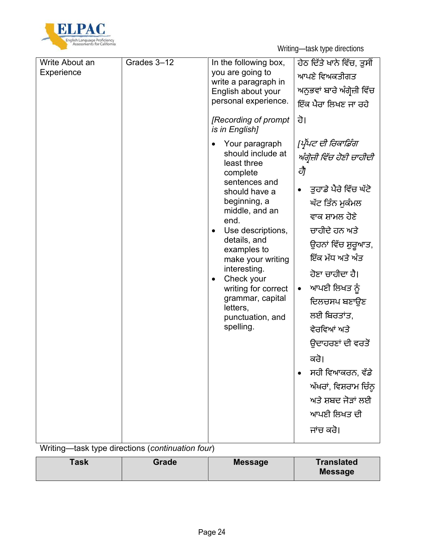

| Write About an<br>Experience | Grades 3-12 | In the following box,<br>you are going to<br>write a paragraph in<br>English about your<br>personal experience.<br>[Recording of prompt]<br>is in English]                                                                                                                                                                                             | ਹੇਠ ਦਿੱਤੇ ਖਾਨੇ ਵਿੱਚ, ਤੁਸੀਂ<br>ਆਪਣੇ ਵਿਅਕਤੀਗਤ<br>ਅਨੁਭਵਾਂ ਬਾਰੇ ਅੰਗ੍ਰੇਜ਼ੀ ਵਿੱਚ<br>ਇੱਕ ਪੈਰਾ ਲਿਖਣ ਜਾ ਰਹੇ<br>ਹੈ।                                                                                                                                                                                                                                                                                        |
|------------------------------|-------------|--------------------------------------------------------------------------------------------------------------------------------------------------------------------------------------------------------------------------------------------------------------------------------------------------------------------------------------------------------|--------------------------------------------------------------------------------------------------------------------------------------------------------------------------------------------------------------------------------------------------------------------------------------------------------------------------------------------------------------------------------------------------|
|                              |             | Your paragraph<br>should include at<br>least three<br>complete<br>sentences and<br>should have a<br>beginning, a<br>middle, and an<br>end.<br>Use descriptions,<br>details, and<br>examples to<br>make your writing<br>interesting.<br>Check your<br>$\bullet$<br>writing for correct<br>grammar, capital<br>letters,<br>punctuation, and<br>spelling. | [ਪ੍ਰੰਪਟ ਦੀ ਰਿਕਾਡਿੰਗ<br>ਅੰਗ੍ਰੇਜ਼ੀ ਵਿੱਚ ਹੋਣੀ ਚਾਹੀਦੀ<br>ਹੈ।<br>ਤੁਹਾਡੇ ਪੈਰੇ ਵਿੱਚ ਘੱਟੋ<br>ਘੱਟ ਤਿੰਨ ਮੁਕੰਮਲ<br>ਵਾਕ ਸ਼ਾਮਲ ਹੋਣੇ<br>ਚਾਹੀਦੇ ਹਨ ਅਤੇ<br>ਉਹਨਾਂ ਵਿੱਚ ਸ਼ੁਰੂਆਤ,<br>ਇੱਕ ਮੱਧ ਅਤੇ ਅੰਤ<br>ਹੋਣਾ ਚਾਹੀਦਾ ਹੈ।<br>ਆਪਣੀ ਲਿਖਤ ਨੂੰ<br>ਦਿਲਚਸਪ ਬਣਾਉਣ<br>ਲਈ ਬਿਰਤਾਂਤ,<br>ਵੇਰਵਿਆਂ ਅਤੇ<br>ਉਦਾਹਰਣਾਂ ਦੀ ਵਰਤੋਂ<br>ਕਰੋ।<br>ਸਹੀ ਵਿਆਕਰਨ, ਵੱਡੇ<br>ਅੱਖਰਾਂ, ਵਿਸ਼ਰਾਮ ਚਿੰਨ੍ਹ<br>ਅਤੇ ਸ਼ਬਦ ਜੋੜਾਂ ਲਈ<br>ਆਪਣੀ ਲਿਖਤ ਦੀ<br>ਜਾਂਚ ਕਰੋ। |

# Writing—task type directions (*continuation four*)

| Task | Grade | <b>Message</b> | <b>Translated</b><br><b>Message</b> |
|------|-------|----------------|-------------------------------------|
|------|-------|----------------|-------------------------------------|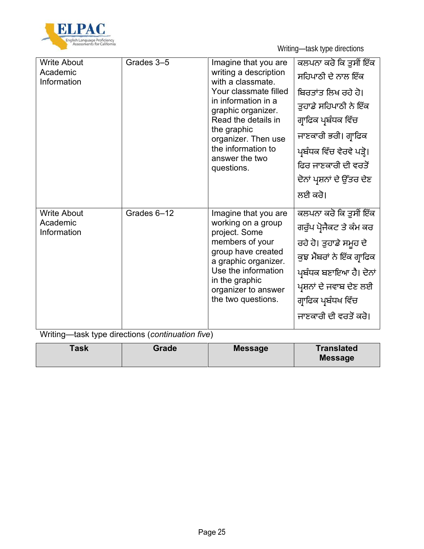

| <b>Write About</b><br>Academic<br>Information | Grades 3-5                                                                                                    | Imagine that you are<br>writing a description<br>with a classmate.<br>Your classmate filled<br>in information in a<br>graphic organizer.<br>Read the details in<br>the graphic<br>organizer. Then use<br>the information to<br>answer the two<br>questions. | ਕਲਪਨਾ ਕਰੋ ਕਿ ਤੁਸੀਂ ਇੱਕ<br>ਸਹਿਪਾਠੀ ਦੇ ਨਾਲ ਇੱਕ<br>ਬਿਰਤਾਂਤ ਲਿਖ ਰਹੇ ਹੋ।<br>ਤੁਹਾਡੇ ਸਹਿਪਾਠੀ ਨੇ ਇੱਕ<br>ਗ੍ਰਾਫਿਕ ਪ੍ਰਬੰਧਕ ਵਿੱਚ<br>ਜਾਣਕਾਰੀ ਭਰੀ। ਗ੍ਰਾਫਿਕ<br>ਪ੍ਰਬੰਧਕ ਵਿੱਚ ਵੇਰਵੇ ਪੜ੍ਹੋ।<br>ਫਿਰ ਜਾਣਕਾਰੀ ਦੀ ਵਰਤੋਂ<br>ਦੋਨਾਂ ਪ੍ਰਸ਼ਨਾਂ ਦੇ ਉੱਤਰ ਦੇਣ<br>ਲਈ ਕਰੋ। |
|-----------------------------------------------|---------------------------------------------------------------------------------------------------------------|-------------------------------------------------------------------------------------------------------------------------------------------------------------------------------------------------------------------------------------------------------------|--------------------------------------------------------------------------------------------------------------------------------------------------------------------------------------------------------------------------------------------|
| <b>Write About</b><br>Academic<br>Information | Grades 6-12<br>$(M/\mu)$ is a set of $\mu$ and $\mu$ is a set of $(M/\mu)$ is a set of $(M/\mu)$ is $(M/\mu)$ | Imagine that you are<br>working on a group<br>project. Some<br>members of your<br>group have created<br>a graphic organizer.<br>Use the information<br>in the graphic<br>organizer to answer<br>the two questions.                                          | ਕਲਪਨਾ ਕਰੋ ਕਿ ਤੁਸੀਂ ਇੱਕ<br>ਗਰੁੱਪ ਪ੍ਰੋਜੈਕਟ ਤੇ ਕੰਮ ਕਰ<br>ਰਹੇ ਹੋ। ਤੁਹਾਡੇ ਸਮੂਹ ਦੇ<br>ਕੁਝ ਮੈਂਬਰਾਂ ਨੇ ਇੱਕ ਗ੍ਰਾਫਿਕ<br>ਪ੍ਰਬੰਧਕ ਬਣਾਇਆ ਹੈ। ਦੋਨਾਂ<br>ਪ੍ਰਸ਼ਨਾਂ ਦੇ ਜਵਾਬ ਦੇਣ ਲਈ<br>ਗ੍ਰਾਫਿਕ ਪ੍ਰਬੰਧਖ ਵਿੱਚ<br>ਜਾਣਕਾਰੀ ਦੀ ਵਰਤੋਂ ਕਰੋ।                          |

Writing—task type directions (*continuation five*)

| Task | Grade | <b>Message</b> | <b>Translated</b><br><b>Message</b> |
|------|-------|----------------|-------------------------------------|
|      |       |                |                                     |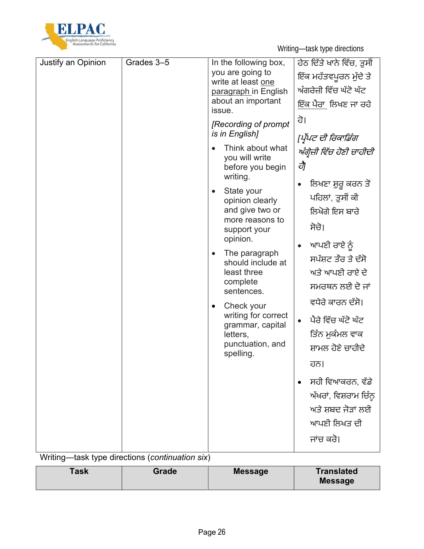

| Justify an Opinion | Grades 3-5 | $\bullet$<br>$\bullet$ | In the following box,<br>you are going to<br>write at least one<br>paragraph in English<br>about an important<br>issue.<br>[Recording of prompt<br>is in English]<br>Think about what<br>you will write<br>before you begin<br>writing.<br>State your                  | ਹੋ।<br>ਹੈ | ਹੇਠ ਦਿੱਤੇ ਖਾਨੇ ਵਿੱਚ, ਤੁਸੀਂ<br>ਇੱਕ ਮਹੱਤਵਪੂਰਨ ਮੁੱਦੇ ਤੇ<br>ਅੰਗਰੇਜ਼ੀ ਵਿੱਚ ਘੱਟੋ ਘੱਟ<br>ਇੱਕ ਪੈਰਾ ਲਿਖਣ ਜਾ ਰਹੇ<br>[ਪ੍ਰੰਪਟ ਦੀ ਰਿਕਾਡਿੰਗ<br>ਅੰਗ੍ਰੇਜ਼ੀ ਵਿੱਚ ਹੋਣੀ ਚਾਹੀਦੀ<br>ਲਿਖਣਾ ਸ਼ੁਰੂ ਕਰਨ ਤੋਂ                                                                                                                               |
|--------------------|------------|------------------------|------------------------------------------------------------------------------------------------------------------------------------------------------------------------------------------------------------------------------------------------------------------------|-----------|------------------------------------------------------------------------------------------------------------------------------------------------------------------------------------------------------------------------------------------------------------------------------------------------------------------|
|                    |            | $\bullet$<br>$\bullet$ | opinion clearly<br>and give two or<br>more reasons to<br>support your<br>opinion.<br>The paragraph<br>should include at<br>least three<br>complete<br>sentences.<br>Check your<br>writing for correct<br>grammar, capital<br>letters,<br>punctuation, and<br>spelling. | $\bullet$ | ਪਹਿਲਾਂ, ਤੁਸੀਂ ਕੀ<br>ਲਿਖੋਗੇ ਇਸ ਬਾਰੇ<br>ਸੋਚੇ।<br>ਆਪਣੀ ਰਾਏ ਨੂੰ<br>ਸਪੱਸ਼ਟ ਤੌਰ ਤੇ ਦੱਸੋ<br>ਅਤੇ ਆਪਣੀ ਰਾਏ ਦੇ<br>ਸਮਰਥਨ ਲਈ ਦੋ ਜਾਂ<br>ਵਧੇਰੇ ਕਾਰਨ ਦੱਸੋ।<br>ਪੈਰੇ ਵਿੱਚ ਘੱਟੋ ਘੱਟ<br>ਤਿੰਨ ਮੁਕੰਮਲ ਵਾਕ<br>ਸ਼ਾਮਲ ਹੋਣੇ ਚਾਹੀਦੇ<br>ਹਨ।<br>ਸਹੀ ਵਿਆਕਰਨ, ਵੱਡੇ<br>ਅੱਖਰਾਂ, ਵਿਸ਼ਰਾਮ ਚਿੰਨ੍ਹ<br>ਅਤੇ ਸ਼ਬਦ ਜੋਤਾਂ ਲਈ<br>ਆਪਣੀ ਲਿਖਤ ਦੀ<br>ਜਾਂਚ ਕਰੋ। |
|                    |            |                        |                                                                                                                                                                                                                                                                        |           |                                                                                                                                                                                                                                                                                                                  |

# Writing—task type directions (*continuation six*)

| Task | Grade | <b>Message</b> | <b>Translated</b><br><b>Message</b> |
|------|-------|----------------|-------------------------------------|
|      |       |                |                                     |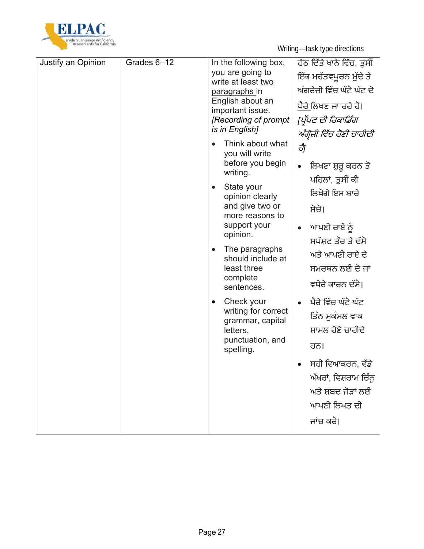

| Justify an Opinion | Grades 6-12 | In the following box,<br>you are going to<br>write at least two<br>paragraphs in<br>English about an<br>important issue.<br>[Recording of prompt<br>is in English]<br>Think about what<br>you will write<br>before you begin<br>writing.<br>State your<br>$\bullet$<br>opinion clearly<br>and give two or<br>more reasons to<br>support your<br>opinion.<br>The paragraphs<br>$\bullet$<br>should include at<br>least three<br>complete<br>sentences.<br>Check your<br>$\bullet$<br>writing for correct<br>grammar, capital<br>letters,<br>punctuation, and<br>spelling. | ਹੇਠ ਦਿੱਤੇ ਖਾਨੇ ਵਿੱਚ, ਤੁਸੀਂ<br>ਇੱਕ ਮਹੱਤਵਪੂਰਨ ਮੁੱਦੇ ਤੇ<br>ਅੰਗਰੇਜ਼ੀ ਵਿੱਚ ਘੱਟੋ ਘੱਟ ਦੇ<br>ਪੈਰੇ ਲਿਖਣ ਜਾ ਰਹੇ ਹੋ।<br>[ਪ੍ਰੰਪਟ ਦੀ ਰਿਕਾਡਿੰਗ<br>ਅੰਗ੍ਰੇਜ਼ੀ ਵਿੱਚ ਹੋਣੀ ਚਾਹੀਦੀ<br>ਹੈ]<br>ਲਿਖਣਾ ਸ਼ੁਰੂ ਕਰਨ ਤੋਂ<br>ਪਹਿਲਾਂ, ਤੁਸੀਂ ਕੀ<br>ਲਿਖੋਗੇ ਇਸ ਬਾਰੇ<br>ਸੋਚੇ।<br>ਆਪਣੀ ਰਾਏ ਨੂੰ<br>ਸਪੱਸ਼ਟ ਤੌਰ ਤੇ ਦੱਸੋ<br>ਅਤੇ ਆਪਣੀ ਰਾਏ ਦੇ<br>ਸਮਰਥਨ ਲਈ ਦੋ ਜਾਂ<br>ਵਧੇਰੇ ਕਾਰਨ ਦੱਸੋ।<br>ਪੈਰੇ ਵਿੱਚ ਘੱਟੋ ਘੱਟ<br>$\bullet$<br>ਤਿੰਨ ਮੁਕੰਮਲ ਵਾਕ<br>ਸ਼ਾਮਲ ਹੋਣੇ ਚਾਹੀਦੇ<br>ਹਨ।<br>ਸਹੀ ਵਿਆਕਰਨ, ਵੱਡੇ<br>ਅੱਖਰਾਂ, ਵਿਸ਼ਰਾਮ ਚਿੰਨ੍ਹ |
|--------------------|-------------|--------------------------------------------------------------------------------------------------------------------------------------------------------------------------------------------------------------------------------------------------------------------------------------------------------------------------------------------------------------------------------------------------------------------------------------------------------------------------------------------------------------------------------------------------------------------------|-----------------------------------------------------------------------------------------------------------------------------------------------------------------------------------------------------------------------------------------------------------------------------------------------------------------------------------------------------------------------------------------------------------------------------------------------------------------------------|
|                    |             |                                                                                                                                                                                                                                                                                                                                                                                                                                                                                                                                                                          | ਅਤੇ ਸ਼ਬਦ ਜੋੜਾਂ ਲਈ<br>ਆਪਣੀ ਲਿਖਤ ਦੀ<br>ਜਾਂਚ ਕਰੋ।                                                                                                                                                                                                                                                                                                                                                                                                                              |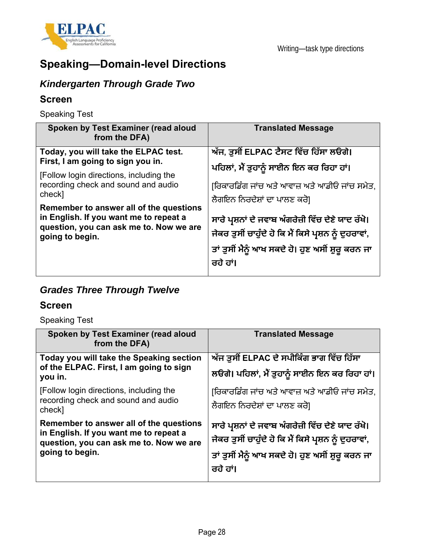

# **Speaking—Domain-level Directions**

# *Kindergarten Through Grade Two*

### **Screen**

Speaking Test

| Spoken by Test Examiner (read aloud<br>from the DFA)                                                                                                                                                                                                                                                                     | <b>Translated Message</b>                                                                                                                                                                                                                                                                                                                            |
|--------------------------------------------------------------------------------------------------------------------------------------------------------------------------------------------------------------------------------------------------------------------------------------------------------------------------|------------------------------------------------------------------------------------------------------------------------------------------------------------------------------------------------------------------------------------------------------------------------------------------------------------------------------------------------------|
| Today, you will take the ELPAC test.<br>First, I am going to sign you in.<br>[Follow login directions, including the<br>recording check and sound and audio<br>check]<br>Remember to answer all of the questions<br>in English. If you want me to repeat a<br>question, you can ask me to. Now we are<br>going to begin. | ਅੱਜ, ਤੁਸੀਂ ELPAC ਟੈਸਟ ਵਿੱਚ ਹਿੱਸਾ ਲਓਗੇ।<br>ਪਹਿਲਾਂ, ਮੈਂ ਤੁਹਾਨੂੰ ਸਾਈਨ ਇਨ ਕਰ ਰਿਹਾ ਹਾਂ।<br>[ਰਿਕਾਰਡਿੰਗ ਜਾਂਚ ਅਤੇ ਆਵਾਜ਼ ਅਤੇ ਆਡੀਓ ਜਾਂਚ ਸਮੇਤ,<br>ਲੈਗਇਨ ਨਿਰਦੇਸ਼ਾਂ ਦਾ ਪਾਲਣ ਕਰੋ]<br>ਸਾਰੇ ਪ੍ਰਸ਼ਨਾਂ ਦੇ ਜਵਾਬ ਅੰਗਰੇਜ਼ੀ ਵਿੱਚ ਦੇਣੇ ਯਾਦ ਰੱਖੋ।<br>ਜੇਕਰ ਤੁਸੀਂ ਚਾਹੁੰਦੇ ਹੋ ਕਿ ਮੈਂ ਕਿਸੇ ਪ੍ਰਸ਼ਨ ਨੂੰ ਦੁਹਰਾਵਾਂ,<br>ਤਾਂ ਤੁਸੀਂ ਮੈਨੂੰ ਆਖ ਸਕਦੇ ਹੋ। ਹੁਣ ਅਸੀਂ ਸ਼ੁਰੂ ਕਰਨ ਜਾ<br>ਰਹੇ ਹਾਂ। |

# *Grades Three Through Twelve*

## **Screen**

Speaking Test

| Spoken by Test Examiner (read aloud<br>from the DFA)                                                                                            | <b>Translated Message</b>                                                                                                                                                     |
|-------------------------------------------------------------------------------------------------------------------------------------------------|-------------------------------------------------------------------------------------------------------------------------------------------------------------------------------|
| Today you will take the Speaking section<br>of the ELPAC. First, I am going to sign                                                             | ਅੱਜ ਤੁਸੀਂ ELPAC ਦੇ ਸਪੀਕਿੰਗ ਭਾਗ ਵਿੱਚ ਹਿੱਸਾ                                                                                                                                     |
| you in.                                                                                                                                         | ਲਓਗੇ। ਪਹਿਲਾਂ, ਮੈਂ ਤੁਹਾਨੂੰ ਸਾਈਨ ਇਨ ਕਰ ਰਿਹਾ ਹਾਂ।                                                                                                                                |
| [Follow login directions, including the<br>recording check and sound and audio<br>check]                                                        | [ਰਿਕਾਰਡਿੰਗ ਜਾਂਚ ਅਤੇ ਆਵਾਜ਼ ਅਤੇ ਆਡੀਓ ਜਾਂਚ ਸਮੇਤ,<br>ਲੈਗਇਨ ਨਿਰਦੇਸ਼ਾਂ ਦਾ ਪਾਲਣ ਕਰੋ]                                                                                                 |
| Remember to answer all of the questions<br>in English. If you want me to repeat a<br>question, you can ask me to. Now we are<br>going to begin. | ਸਾਰੇ ਪ੍ਰਸ਼ਨਾਂ ਦੇ ਜਵਾਬ ਅੰਗਰੇਜ਼ੀ ਵਿੱਚ ਦੇਣੇ ਯਾਦ ਰੱਖੋ।<br>ਜੇਕਰ ਤੁਸੀਂ ਚਾਹੁੰਦੇ ਹੋ ਕਿ ਮੈਂ ਕਿਸੇ ਪ੍ਰਸ਼ਨ ਨੂੰ ਦੁਹਰਾਵਾਂ,<br>ਤਾਂ ਤੁਸੀਂ ਮੈਨੂੰ ਆਖ ਸਕਦੇ ਹੋ। ਹੁਣ ਅਸੀਂ ਸ਼ੁਰੂ ਕਰਨ ਜਾ<br>ਰਹੇ ਹਾਂ। |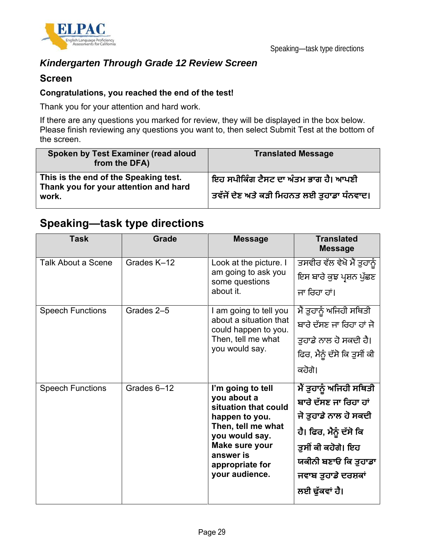

## *Kindergarten Through Grade 12 Review Screen*

#### **Screen**

#### **Congratulations, you reached the end of the test!**

Thank you for your attention and hard work.

If there are any questions you marked for review, they will be displayed in the box below. Please finish reviewing any questions you want to, then select Submit Test at the bottom of the screen.

| Spoken by Test Examiner (read aloud<br>from the DFA)                                    | <b>Translated Message</b>                                                            |
|-----------------------------------------------------------------------------------------|--------------------------------------------------------------------------------------|
| This is the end of the Speaking test.<br>Thank you for your attention and hard<br>work. | ਇਹ ਸਪੀਕਿੰਗ ਟੈਸਟ ਦਾ ਅੰਤਮ ਭਾਗ ਹੈ। ਆਪਣੀ<br>ٰ ਤਵੱਜੋਂ ਦੇਣ ਅਤੇ ਕੜੀ ਮਿਹਨਤ ਲਈ ਤੁਹਾਡਾ ਧੰਨਵਾਦ। |

# **Speaking—task type directions**

| <b>Task</b>               | <b>Grade</b> | <b>Message</b>                                                                                                                                                                         | <b>Translated</b><br>Message                                                                                                                                                               |
|---------------------------|--------------|----------------------------------------------------------------------------------------------------------------------------------------------------------------------------------------|--------------------------------------------------------------------------------------------------------------------------------------------------------------------------------------------|
| <b>Talk About a Scene</b> | Grades K-12  | Look at the picture. I<br>am going to ask you<br>some questions<br>about it.                                                                                                           | ਤਸਵੀਰ ਵੱਲ ਵੇਖੋ ਮੈਂ ਤੁਹਾਨੂੰ<br>ਇਸ ਬਾਰੇ ਕੁਝ ਪ੍ਰਸ਼ਨ ਪੁੱਛਣ<br>ਜਾ ਰਿਹਾ ਹਾਂ।                                                                                                                     |
| <b>Speech Functions</b>   | Grades 2-5   | I am going to tell you<br>about a situation that<br>could happen to you.<br>Then, tell me what<br>you would say.                                                                       | ਮੈਂ ਤੁਹਾਨੂੰ ਅਜਿਹੀ ਸਥਿਤੀ<br>ਬਾਰੇ ਦੱਸਣ ਜਾ ਰਿਹਾ ਹਾਂ ਜੇ<br>ਤੁਹਾਡੇ ਨਾਲ ਹੋ ਸਕਦੀ ਹੈ।<br>ਫਿਰ, ਮੈਨੂੰ ਦੱਸੋ ਕਿ ਤੁਸੀਂ ਕੀ<br>ਕਹੋਗੇ।                                                                     |
| <b>Speech Functions</b>   | Grades 6-12  | I'm going to tell<br>you about a<br>situation that could<br>happen to you.<br>Then, tell me what<br>you would say.<br>Make sure your<br>answer is<br>appropriate for<br>your audience. | ਮੈਂ ਤੁਹਾਨੂੰ ਅਜਿਹੀ ਸਥਿਤੀ<br>ਬਾਰੇ ਦੱਸਣ ਜਾ ਰਿਹਾ ਹਾਂ<br>ਜੋ ਤੁਹਾਡੇ ਨਾਲ ਹੋ ਸਕਦੀ<br>ਹੈ। ਫਿਰ, ਮੈਨੂੰ ਦੱਸੋ ਕਿ<br>ਤੁਸੀਂ ਕੀ ਕਹੋਗੇ। ਇਹ<br>ਯਕੀਨੀ ਬਣਾਓ ਕਿ ਤੁਹਾਡਾ<br>ਜਵਾਬ ਤੁਹਾਡੇ ਦਰਸ਼ਕਾਂ<br>ਲਈ ਢੁੱਕਵਾਂ ਹੈ। |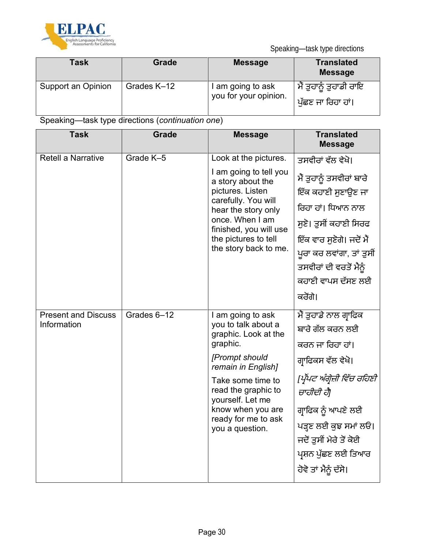

| Task               | Grade       | <b>Message</b>                             | <b>Translated</b><br><b>Message</b>         |
|--------------------|-------------|--------------------------------------------|---------------------------------------------|
| Support an Opinion | Grades K-12 | I am going to ask<br>you for your opinion. | ਮੈਂ ਤੁਹਾਨੂੰ ਤੁਹਾਡੀ ਰਾਇ<br>ਪੱਛਣ ਜਾ ਰਿਹਾ ਹਾਂ। |

Speaking—task type directions (*continuation one*)

| <b>Task</b>                               | <b>Grade</b> | <b>Message</b>                                                                                                                                                                                                                                      | <b>Translated</b><br><b>Message</b>                                                                                                                                                                                                                           |
|-------------------------------------------|--------------|-----------------------------------------------------------------------------------------------------------------------------------------------------------------------------------------------------------------------------------------------------|---------------------------------------------------------------------------------------------------------------------------------------------------------------------------------------------------------------------------------------------------------------|
| Retell a Narrative                        | Grade K-5    | Look at the pictures.                                                                                                                                                                                                                               | ਤਸਵੀਰਾਂ ਵੱਲ ਵੇਖੋ।                                                                                                                                                                                                                                             |
|                                           |              | I am going to tell you<br>a story about the<br>pictures. Listen<br>carefully. You will<br>hear the story only<br>once. When I am<br>finished, you will use<br>the pictures to tell<br>the story back to me.                                         | ਮੈਂ ਤੁਹਾਨੂੰ ਤਸਵੀਰਾਂ ਬਾਰੇ<br>ਇੱਕ ਕਹਾਣੀ ਸੁਣਾਉਣ ਜਾ<br>ਰਿਹਾ ਹਾਂ। ਧਿਆਨ ਨਾਲ<br>ਸੁਣੋ। ਤੁਸੀਂ ਕਹਾਣੀ ਸਿਰਫ<br>ਇੱਕ ਵਾਰ ਸੁਣੋਗੇ। ਜਦੋਂ ਮੈਂ<br>ਪੁਰਾ ਕਰ ਲਵਾਂਗਾ, ਤਾਂ ਤੁਸੀਂ<br>ਤਸਵੀਰਾਂ ਦੀ ਵਰਤੋਂ ਮੈਨੂੰ<br>ਕਹਾਣੀ ਵਾਪਸ ਦੱਸਣ ਲਈ<br>ਕਰੋਂਗੇ।                                           |
| <b>Present and Discuss</b><br>Information | Grades 6-12  | I am going to ask<br>you to talk about a<br>graphic. Look at the<br>graphic.<br>[Prompt should<br>remain in English]<br>Take some time to<br>read the graphic to<br>yourself. Let me<br>know when you are<br>ready for me to ask<br>you a question. | ਮੈਂ ਤੁਹਾਡੇ ਨਾਲ ਗ੍ਰਾਫਿਕ<br>ਬਾਰੇ ਗੱਲ ਕਰਨ ਲਈ<br>ਕਰਨ ਜਾ ਰਿਹਾ ਹਾਂ।<br>ਗ੍ਰਾਫਿਕਸ ਵੱਲ ਵੇਖੋ।<br>[ਪ੍ਰੰਪਟ ਅੰਗ੍ਰੇਜ਼ੀ ਵਿੱਚ ਰਹਿਣੀ<br>ਚਾਹੀਦੀ ਹੈੈੈ<br>ਗ੍ਰਾਫਿਕ ਨੂੰ ਆਪਣੇ ਲਈ<br>ਪੜ੍ਹਣ ਲਈ ਕੁਝ ਸਮਾਂ ਲਓ।<br>ਜਦੋਂ ਤੁਸੀਂ ਮੇਰੇ ਤੋਂ ਕੋਈ<br>ਪ੍ਰਸ਼ਨ ਪੁੱਛਣ ਲਈ ਤਿਆਰ<br>ਹੋਵੋ ਤਾਂ ਮੈਨੂੰ ਦੱਸੋ। |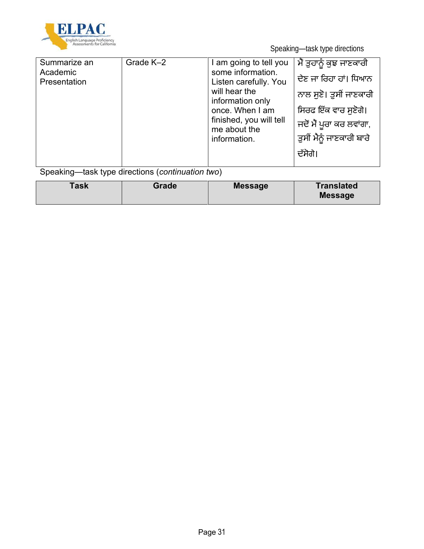

Speaking—task type directions

| Summarize an             | Grade K-2 | I am going to tell you                     | ਮੈਂ ਤੁਹਾਨੂੰ ਕੁਝ ਜਾਣਕਾਰੀ  |
|--------------------------|-----------|--------------------------------------------|--------------------------|
| Academic<br>Presentation |           | some information.<br>Listen carefully. You | ਦੇਣ ਜਾ ਰਿਹਾ ਹਾਂ। ਧਿਆਨ    |
|                          |           | will hear the<br>information only          | ਨਾਲ ਸੁਣੋ। ਤੁਸੀਂ ਜਾਣਕਾਰੀ  |
|                          |           | once. When I am                            | ਸਿਰਫ ਇੱਕ ਵਾਰ ਸੁਣੋਗੇ।     |
|                          |           | finished, you will tell<br>me about the    | ਜਦੋਂ ਮੈਂ ਪੁਰਾ ਕਰ ਲਵਾਂਗਾ, |
|                          |           | information.                               | ਤੁਸੀਂ ਮੈਨੂੰ ਜਾਣਕਾਰੀ ਬਾਰੇ |
|                          |           |                                            | ਦੱਸੋਗੇ।                  |
|                          |           |                                            |                          |

Speaking—task type directions (*continuation two*)

| <b>Task</b> | Grade | <b>Message</b> | Translated<br><b>Message</b> |
|-------------|-------|----------------|------------------------------|
|-------------|-------|----------------|------------------------------|